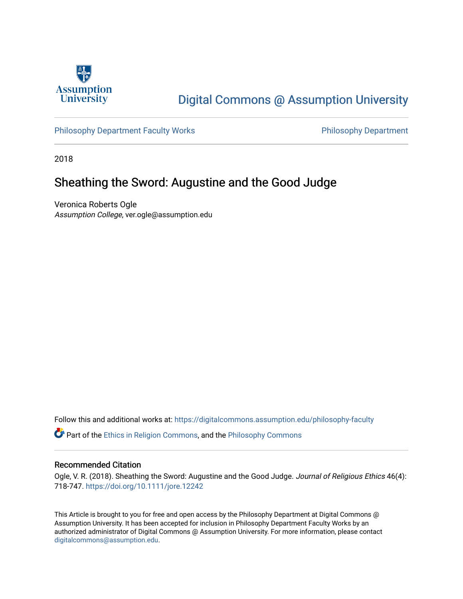

# [Digital Commons @ Assumption University](https://digitalcommons.assumption.edu/)

[Philosophy Department Faculty Works](https://digitalcommons.assumption.edu/philosophy-faculty) **Philosophy Department** 

2018

## Sheathing the Sword: Augustine and the Good Judge

Veronica Roberts Ogle Assumption College, ver.ogle@assumption.edu

Follow this and additional works at: [https://digitalcommons.assumption.edu/philosophy-faculty](https://digitalcommons.assumption.edu/philosophy-faculty?utm_source=digitalcommons.assumption.edu%2Fphilosophy-faculty%2F34&utm_medium=PDF&utm_campaign=PDFCoverPages) 

**C** Part of the [Ethics in Religion Commons,](http://network.bepress.com/hgg/discipline/541?utm_source=digitalcommons.assumption.edu%2Fphilosophy-faculty%2F34&utm_medium=PDF&utm_campaign=PDFCoverPages) and the [Philosophy Commons](http://network.bepress.com/hgg/discipline/525?utm_source=digitalcommons.assumption.edu%2Fphilosophy-faculty%2F34&utm_medium=PDF&utm_campaign=PDFCoverPages)

## Recommended Citation

Ogle, V. R. (2018). Sheathing the Sword: Augustine and the Good Judge. Journal of Religious Ethics 46(4): 718-747. <https://doi.org/10.1111/jore.12242>

This Article is brought to you for free and open access by the Philosophy Department at Digital Commons @ Assumption University. It has been accepted for inclusion in Philosophy Department Faculty Works by an authorized administrator of Digital Commons @ Assumption University. For more information, please contact [digitalcommons@assumption.edu](mailto:digitalcommons@assumption.edu).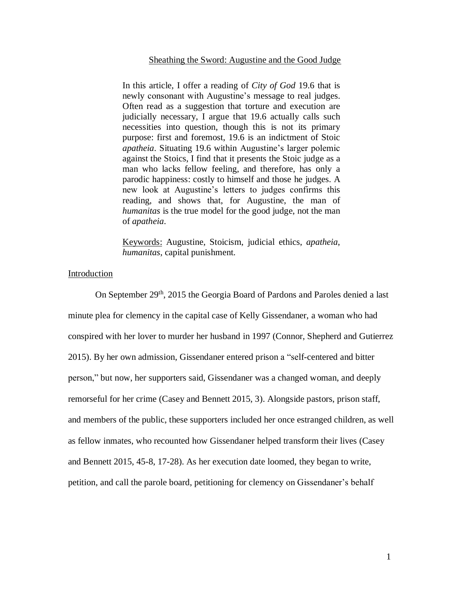## Sheathing the Sword: Augustine and the Good Judge

In this article, I offer a reading of *City of God* 19.6 that is newly consonant with Augustine's message to real judges. Often read as a suggestion that torture and execution are judicially necessary, I argue that 19.6 actually calls such necessities into question, though this is not its primary purpose: first and foremost, 19.6 is an indictment of Stoic *apatheia*. Situating 19.6 within Augustine's larger polemic against the Stoics, I find that it presents the Stoic judge as a man who lacks fellow feeling, and therefore, has only a parodic happiness: costly to himself and those he judges. A new look at Augustine's letters to judges confirms this reading, and shows that, for Augustine, the man of *humanitas* is the true model for the good judge, not the man of *apatheia*.

Keywords: Augustine, Stoicism, judicial ethics, *apatheia*, *humanitas*, capital punishment.

## Introduction

On September 29<sup>th</sup>, 2015 the Georgia Board of Pardons and Paroles denied a last minute plea for clemency in the capital case of Kelly Gissendaner, a woman who had conspired with her lover to murder her husband in 1997 (Connor, Shepherd and Gutierrez 2015). By her own admission, Gissendaner entered prison a "self-centered and bitter person," but now, her supporters said, Gissendaner was a changed woman, and deeply remorseful for her crime (Casey and Bennett 2015, 3). Alongside pastors, prison staff, and members of the public, these supporters included her once estranged children, as well as fellow inmates, who recounted how Gissendaner helped transform their lives (Casey and Bennett 2015, 45-8, 17-28). As her execution date loomed, they began to write, petition, and call the parole board, petitioning for clemency on Gissendaner's behalf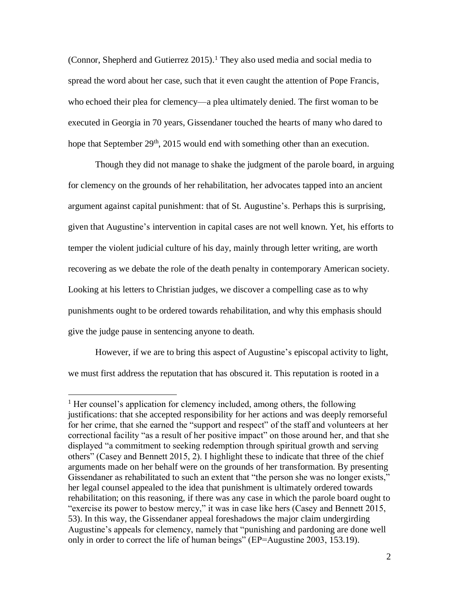(Connor, Shepherd and Gutierrez 2015). <sup>1</sup> They also used media and social media to spread the word about her case, such that it even caught the attention of Pope Francis, who echoed their plea for clemency—a plea ultimately denied. The first woman to be executed in Georgia in 70 years, Gissendaner touched the hearts of many who dared to hope that September 29<sup>th</sup>, 2015 would end with something other than an execution.

Though they did not manage to shake the judgment of the parole board, in arguing for clemency on the grounds of her rehabilitation, her advocates tapped into an ancient argument against capital punishment: that of St. Augustine's. Perhaps this is surprising, given that Augustine's intervention in capital cases are not well known. Yet, his efforts to temper the violent judicial culture of his day, mainly through letter writing, are worth recovering as we debate the role of the death penalty in contemporary American society. Looking at his letters to Christian judges, we discover a compelling case as to why punishments ought to be ordered towards rehabilitation, and why this emphasis should give the judge pause in sentencing anyone to death.

However, if we are to bring this aspect of Augustine's episcopal activity to light, we must first address the reputation that has obscured it. This reputation is rooted in a

<sup>&</sup>lt;sup>1</sup> Her counsel's application for clemency included, among others, the following justifications: that she accepted responsibility for her actions and was deeply remorseful for her crime, that she earned the "support and respect" of the staff and volunteers at her correctional facility "as a result of her positive impact" on those around her, and that she displayed "a commitment to seeking redemption through spiritual growth and serving others" (Casey and Bennett 2015, 2). I highlight these to indicate that three of the chief arguments made on her behalf were on the grounds of her transformation. By presenting Gissendaner as rehabilitated to such an extent that "the person she was no longer exists," her legal counsel appealed to the idea that punishment is ultimately ordered towards rehabilitation; on this reasoning, if there was any case in which the parole board ought to "exercise its power to bestow mercy," it was in case like hers (Casey and Bennett 2015, 53). In this way, the Gissendaner appeal foreshadows the major claim undergirding Augustine's appeals for clemency, namely that "punishing and pardoning are done well only in order to correct the life of human beings" (EP=Augustine 2003, 153.19).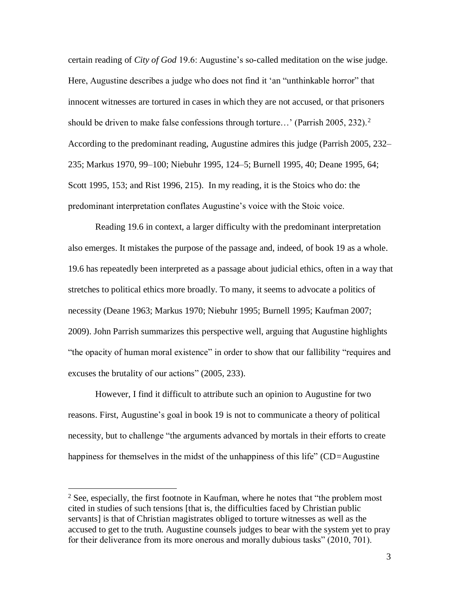certain reading of *City of God* 19.6: Augustine's so-called meditation on the wise judge. Here, Augustine describes a judge who does not find it 'an "unthinkable horror" that innocent witnesses are tortured in cases in which they are not accused, or that prisoners should be driven to make false confessions through torture...' (Parrish 2005, 232).<sup>2</sup> According to the predominant reading, Augustine admires this judge (Parrish 2005, 232– 235; Markus 1970, 99–100; Niebuhr 1995, 124–5; Burnell 1995, 40; Deane 1995, 64; Scott 1995, 153; and Rist 1996, 215). In my reading, it is the Stoics who do: the predominant interpretation conflates Augustine's voice with the Stoic voice.

Reading 19.6 in context, a larger difficulty with the predominant interpretation also emerges. It mistakes the purpose of the passage and, indeed, of book 19 as a whole. 19.6 has repeatedly been interpreted as a passage about judicial ethics, often in a way that stretches to political ethics more broadly. To many, it seems to advocate a politics of necessity (Deane 1963; Markus 1970; Niebuhr 1995; Burnell 1995; Kaufman 2007; 2009). John Parrish summarizes this perspective well, arguing that Augustine highlights "the opacity of human moral existence" in order to show that our fallibility "requires and excuses the brutality of our actions" (2005, 233).

However, I find it difficult to attribute such an opinion to Augustine for two reasons. First, Augustine's goal in book 19 is not to communicate a theory of political necessity, but to challenge "the arguments advanced by mortals in their efforts to create happiness for themselves in the midst of the unhappiness of this life" (CD*=*Augustine

 $2$  See, especially, the first footnote in Kaufman, where he notes that "the problem most cited in studies of such tensions [that is, the difficulties faced by Christian public servants] is that of Christian magistrates obliged to torture witnesses as well as the accused to get to the truth. Augustine counsels judges to bear with the system yet to pray for their deliverance from its more onerous and morally dubious tasks" (2010, 701).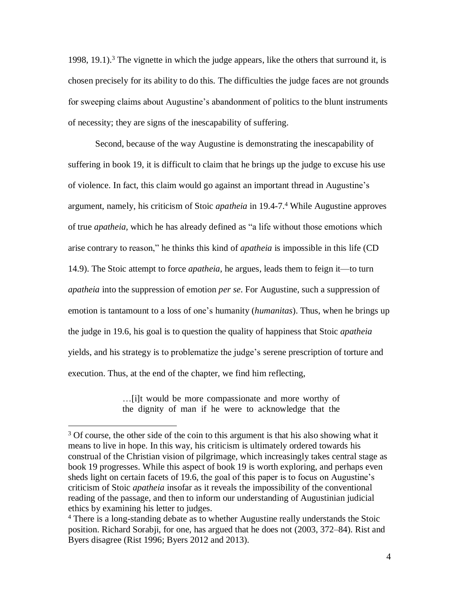1998, 19.1). <sup>3</sup> The vignette in which the judge appears, like the others that surround it, is chosen precisely for its ability to do this*.* The difficulties the judge faces are not grounds for sweeping claims about Augustine's abandonment of politics to the blunt instruments of necessity; they are signs of the inescapability of suffering.

Second, because of the way Augustine is demonstrating the inescapability of suffering in book 19, it is difficult to claim that he brings up the judge to excuse his use of violence. In fact, this claim would go against an important thread in Augustine's argument, namely, his criticism of Stoic *apatheia* in 19.4-7. <sup>4</sup> While Augustine approves of true *apatheia,* which he has already defined as "a life without those emotions which arise contrary to reason," he thinks this kind of *apatheia* is impossible in this life (CD 14.9). The Stoic attempt to force *apatheia*, he argues, leads them to feign it—to turn *apatheia* into the suppression of emotion *per se*. For Augustine, such a suppression of emotion is tantamount to a loss of one's humanity (*humanitas*). Thus, when he brings up the judge in 19.6, his goal is to question the quality of happiness that Stoic *apatheia* yields, and his strategy is to problematize the judge's serene prescription of torture and execution. Thus, at the end of the chapter, we find him reflecting,

> …[i]t would be more compassionate and more worthy of the dignity of man if he were to acknowledge that the

<sup>&</sup>lt;sup>3</sup> Of course, the other side of the coin to this argument is that his also showing what it means to live in hope. In this way, his criticism is ultimately ordered towards his construal of the Christian vision of pilgrimage, which increasingly takes central stage as book 19 progresses. While this aspect of book 19 is worth exploring, and perhaps even sheds light on certain facets of 19.6, the goal of this paper is to focus on Augustine's criticism of Stoic *apatheia* insofar as it reveals the impossibility of the conventional reading of the passage, and then to inform our understanding of Augustinian judicial ethics by examining his letter to judges.

<sup>4</sup> There is a long-standing debate as to whether Augustine really understands the Stoic position. Richard Sorabji, for one, has argued that he does not (2003, 372–84). Rist and Byers disagree (Rist 1996; Byers 2012 and 2013).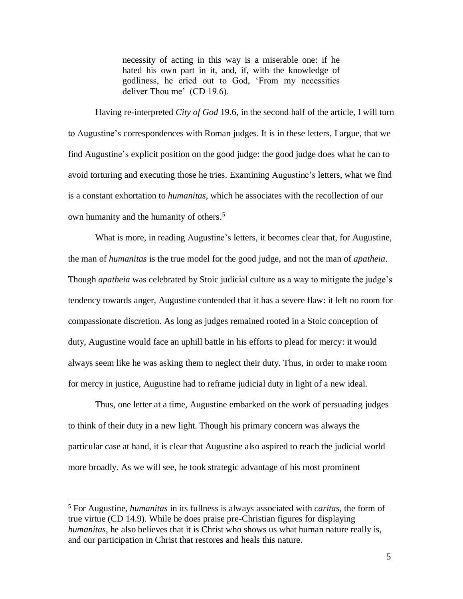necessity of acting in this way is a miserable one: if he hated his own part in it, and, if, with the knowledge of godliness, he cried out to God, 'From my necessities deliver Thou me' (CD 19.6).

Having re-interpreted *City of God* 19.6, in the second half of the article, I will turn to Augustine's correspondences with Roman judges. It is in these letters, I argue, that we find Augustine's explicit position on the good judge: the good judge does what he can to avoid torturing and executing those he tries. Examining Augustine's letters, what we find is a constant exhortation to *humanitas*, which he associates with the recollection of our own humanity and the humanity of others. 5

What is more, in reading Augustine's letters, it becomes clear that, for Augustine, the man of *humanitas* is the true model for the good judge, and not the man of *apatheia*. Though *apatheia* was celebrated by Stoic judicial culture as a way to mitigate the judge's tendency towards anger, Augustine contended that it has a severe flaw: it left no room for compassionate discretion. As long as judges remained rooted in a Stoic conception of duty, Augustine would face an uphill battle in his efforts to plead for mercy: it would always seem like he was asking them to neglect their duty. Thus, in order to make room for mercy in justice, Augustine had to reframe judicial duty in light of a new ideal.

Thus, one letter at a time, Augustine embarked on the work of persuading judges to think of their duty in a new light. Though his primary concern was always the particular case at hand, it is clear that Augustine also aspired to reach the judicial world more broadly. As we will see, he took strategic advantage of his most prominent

<sup>5</sup> For Augustine, *humanitas* in its fullness is always associated with *caritas,* the form of true virtue (CD 14.9). While he does praise pre-Christian figures for displaying *humanitas*, he also believes that it is Christ who shows us what human nature really is, and our participation in Christ that restores and heals this nature.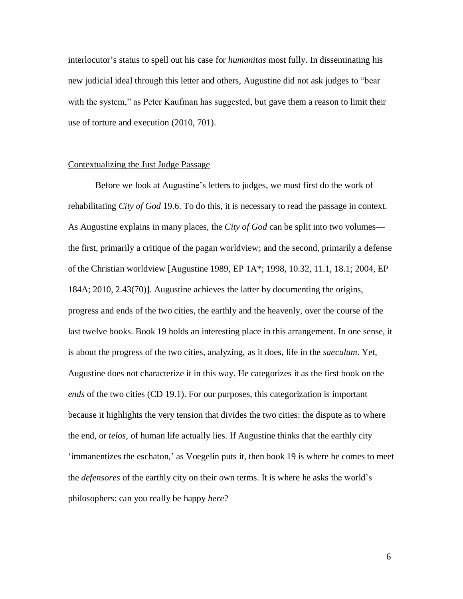interlocutor's status to spell out his case for *humanitas* most fully. In disseminating his new judicial ideal through this letter and others, Augustine did not ask judges to "bear with the system," as Peter Kaufman has suggested, but gave them a reason to limit their use of torture and execution (2010, 701).

#### Contextualizing the Just Judge Passage

Before we look at Augustine's letters to judges, we must first do the work of rehabilitating *City of God* 19.6. To do this, it is necessary to read the passage in context. As Augustine explains in many places, the *City of God* can be split into two volumes the first, primarily a critique of the pagan worldview; and the second, primarily a defense of the Christian worldview [Augustine 1989, EP 1A\*; 1998, 10.32, 11.1, 18.1; 2004, EP 184A; 2010, 2.43(70)]. Augustine achieves the latter by documenting the origins, progress and ends of the two cities, the earthly and the heavenly, over the course of the last twelve books. Book 19 holds an interesting place in this arrangement. In one sense, it is about the progress of the two cities, analyzing, as it does, life in the *saeculum*. Yet, Augustine does not characterize it in this way. He categorizes it as the first book on the *ends* of the two cities (CD 19.1). For our purposes, this categorization is important because it highlights the very tension that divides the two cities: the dispute as to where the end, or *telos*, of human life actually lies. If Augustine thinks that the earthly city 'immanentizes the eschaton,' as Voegelin puts it, then book 19 is where he comes to meet the *defensores* of the earthly city on their own terms. It is where he asks the world's philosophers: can you really be happy *here*?

6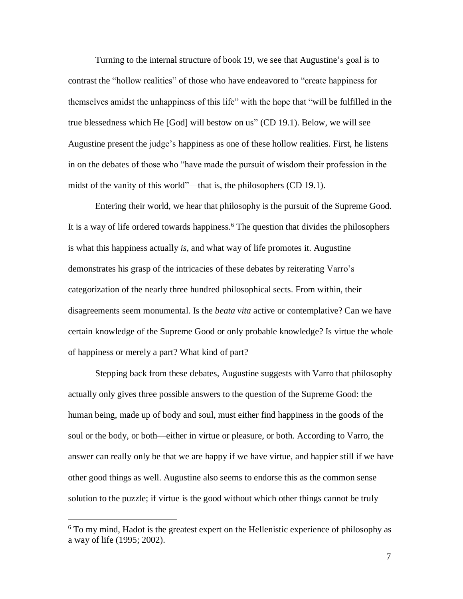Turning to the internal structure of book 19, we see that Augustine's goal is to contrast the "hollow realities" of those who have endeavored to "create happiness for themselves amidst the unhappiness of this life" with the hope that "will be fulfilled in the true blessedness which He [God] will bestow on us" (CD 19.1). Below, we will see Augustine present the judge's happiness as one of these hollow realities. First, he listens in on the debates of those who "have made the pursuit of wisdom their profession in the midst of the vanity of this world"—that is, the philosophers (CD 19.1).

Entering their world, we hear that philosophy is the pursuit of the Supreme Good. It is a way of life ordered towards happiness.<sup>6</sup> The question that divides the philosophers is what this happiness actually *is*, and what way of life promotes it. Augustine demonstrates his grasp of the intricacies of these debates by reiterating Varro's categorization of the nearly three hundred philosophical sects. From within, their disagreements seem monumental. Is the *beata vita* active or contemplative? Can we have certain knowledge of the Supreme Good or only probable knowledge? Is virtue the whole of happiness or merely a part? What kind of part?

Stepping back from these debates, Augustine suggests with Varro that philosophy actually only gives three possible answers to the question of the Supreme Good: the human being, made up of body and soul, must either find happiness in the goods of the soul or the body, or both—either in virtue or pleasure, or both. According to Varro, the answer can really only be that we are happy if we have virtue, and happier still if we have other good things as well. Augustine also seems to endorse this as the common sense solution to the puzzle; if virtue is the good without which other things cannot be truly

<sup>6</sup> To my mind, Hadot is the greatest expert on the Hellenistic experience of philosophy as a way of life (1995; 2002).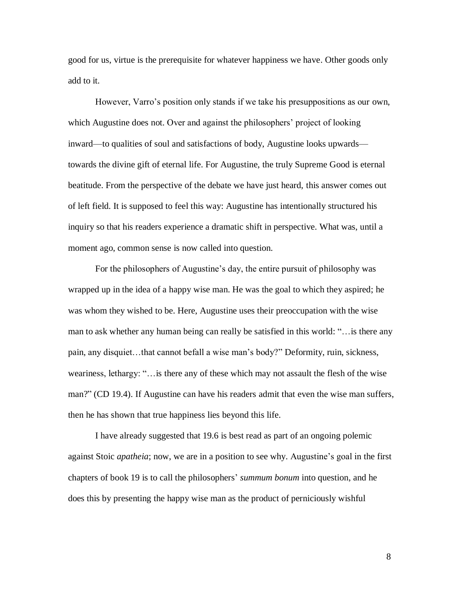good for us, virtue is the prerequisite for whatever happiness we have. Other goods only add to it.

However, Varro's position only stands if we take his presuppositions as our own, which Augustine does not. Over and against the philosophers' project of looking inward—to qualities of soul and satisfactions of body, Augustine looks upwards towards the divine gift of eternal life. For Augustine, the truly Supreme Good is eternal beatitude. From the perspective of the debate we have just heard, this answer comes out of left field. It is supposed to feel this way: Augustine has intentionally structured his inquiry so that his readers experience a dramatic shift in perspective. What was, until a moment ago, common sense is now called into question.

For the philosophers of Augustine's day, the entire pursuit of philosophy was wrapped up in the idea of a happy wise man. He was the goal to which they aspired; he was whom they wished to be. Here, Augustine uses their preoccupation with the wise man to ask whether any human being can really be satisfied in this world: "…is there any pain, any disquiet…that cannot befall a wise man's body?" Deformity, ruin, sickness, weariness, lethargy: "…is there any of these which may not assault the flesh of the wise man?" (CD 19.4). If Augustine can have his readers admit that even the wise man suffers, then he has shown that true happiness lies beyond this life.

I have already suggested that 19.6 is best read as part of an ongoing polemic against Stoic *apatheia*; now, we are in a position to see why. Augustine's goal in the first chapters of book 19 is to call the philosophers' *summum bonum* into question, and he does this by presenting the happy wise man as the product of perniciously wishful

8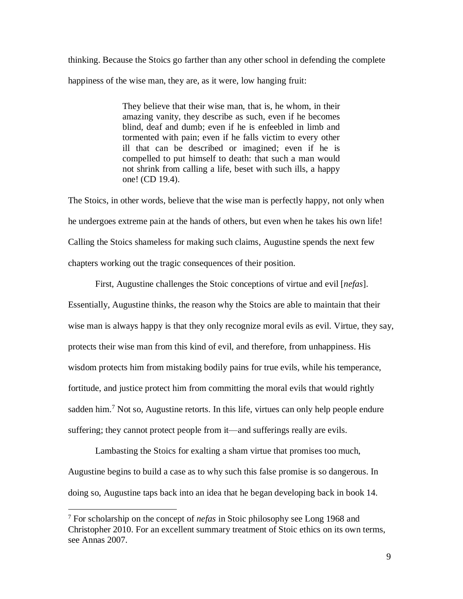thinking. Because the Stoics go farther than any other school in defending the complete happiness of the wise man, they are, as it were, low hanging fruit:

> They believe that their wise man, that is, he whom, in their amazing vanity, they describe as such, even if he becomes blind, deaf and dumb; even if he is enfeebled in limb and tormented with pain; even if he falls victim to every other ill that can be described or imagined; even if he is compelled to put himself to death: that such a man would not shrink from calling a life, beset with such ills, a happy one! (CD 19.4).

The Stoics, in other words, believe that the wise man is perfectly happy, not only when he undergoes extreme pain at the hands of others, but even when he takes his own life! Calling the Stoics shameless for making such claims, Augustine spends the next few chapters working out the tragic consequences of their position.

First, Augustine challenges the Stoic conceptions of virtue and evil [*nefas*]. Essentially, Augustine thinks, the reason why the Stoics are able to maintain that their wise man is always happy is that they only recognize moral evils as evil. Virtue, they say, protects their wise man from this kind of evil, and therefore, from unhappiness. His wisdom protects him from mistaking bodily pains for true evils, while his temperance, fortitude, and justice protect him from committing the moral evils that would rightly sadden him.<sup>7</sup> Not so, Augustine retorts. In this life, virtues can only help people endure suffering; they cannot protect people from it—and sufferings really are evils.

Lambasting the Stoics for exalting a sham virtue that promises too much, Augustine begins to build a case as to why such this false promise is so dangerous. In doing so, Augustine taps back into an idea that he began developing back in book 14.

<sup>7</sup> For scholarship on the concept of *nefas* in Stoic philosophy see Long 1968 and Christopher 2010. For an excellent summary treatment of Stoic ethics on its own terms, see Annas 2007.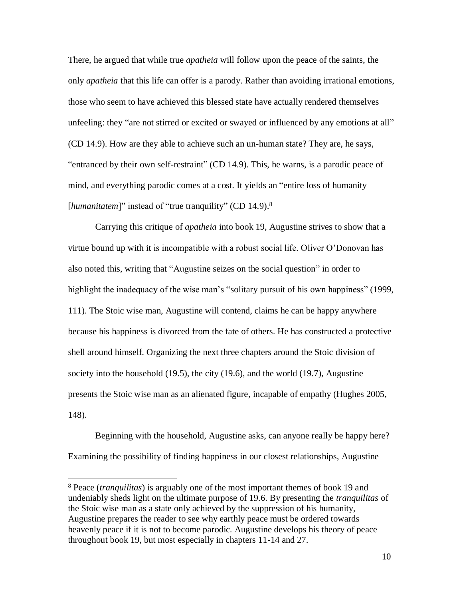There, he argued that while true *apatheia* will follow upon the peace of the saints, the only *apatheia* that this life can offer is a parody. Rather than avoiding irrational emotions, those who seem to have achieved this blessed state have actually rendered themselves unfeeling: they "are not stirred or excited or swayed or influenced by any emotions at all" (CD 14.9). How are they able to achieve such an un-human state? They are, he says, "entranced by their own self-restraint" (CD 14.9). This, he warns, is a parodic peace of mind, and everything parodic comes at a cost. It yields an "entire loss of humanity [humanitatem]" instead of "true tranquility" (CD 14.9).<sup>8</sup>

Carrying this critique of *apatheia* into book 19, Augustine strives to show that a virtue bound up with it is incompatible with a robust social life. Oliver O'Donovan has also noted this, writing that "Augustine seizes on the social question" in order to highlight the inadequacy of the wise man's "solitary pursuit of his own happiness" (1999, 111). The Stoic wise man, Augustine will contend, claims he can be happy anywhere because his happiness is divorced from the fate of others. He has constructed a protective shell around himself. Organizing the next three chapters around the Stoic division of society into the household (19.5), the city (19.6), and the world (19.7), Augustine presents the Stoic wise man as an alienated figure, incapable of empathy (Hughes 2005, 148).

Beginning with the household, Augustine asks, can anyone really be happy here? Examining the possibility of finding happiness in our closest relationships, Augustine

<sup>8</sup> Peace (*tranquilitas*) is arguably one of the most important themes of book 19 and undeniably sheds light on the ultimate purpose of 19.6. By presenting the *tranquilitas* of the Stoic wise man as a state only achieved by the suppression of his humanity, Augustine prepares the reader to see why earthly peace must be ordered towards heavenly peace if it is not to become parodic. Augustine develops his theory of peace throughout book 19, but most especially in chapters 11-14 and 27.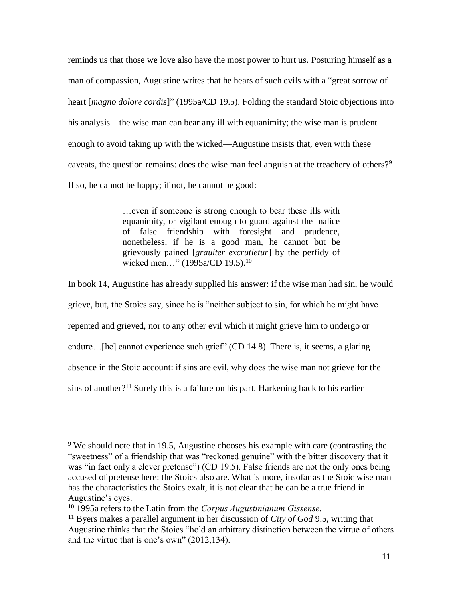reminds us that those we love also have the most power to hurt us. Posturing himself as a man of compassion, Augustine writes that he hears of such evils with a "great sorrow of heart [*magno dolore cordis*]" (1995a/CD 19.5). Folding the standard Stoic objections into his analysis—the wise man can bear any ill with equanimity; the wise man is prudent enough to avoid taking up with the wicked—Augustine insists that, even with these caveats, the question remains: does the wise man feel anguish at the treachery of others?<sup>9</sup> If so, he cannot be happy; if not, he cannot be good:

> …even if someone is strong enough to bear these ills with equanimity, or vigilant enough to guard against the malice of false friendship with foresight and prudence, nonetheless*,* if he is a good man, he cannot but be grievously pained [*grauiter excrutietur*] by the perfidy of wicked men..." (1995a/CD 19.5).<sup>10</sup>

In book 14, Augustine has already supplied his answer: if the wise man had sin, he would grieve, but, the Stoics say, since he is "neither subject to sin, for which he might have repented and grieved, nor to any other evil which it might grieve him to undergo or endure...[he] cannot experience such grief" (CD 14.8). There is, it seems, a glaring absence in the Stoic account: if sins are evil, why does the wise man not grieve for the sins of another?<sup>11</sup> Surely this is a failure on his part. Harkening back to his earlier

<sup>&</sup>lt;sup>9</sup> We should note that in 19.5, Augustine chooses his example with care (contrasting the "sweetness" of a friendship that was "reckoned genuine" with the bitter discovery that it was "in fact only a clever pretense") (CD 19.5). False friends are not the only ones being accused of pretense here: the Stoics also are. What is more, insofar as the Stoic wise man has the characteristics the Stoics exalt, it is not clear that he can be a true friend in Augustine's eyes.

<sup>10</sup> 1995a refers to the Latin from the *Corpus Augustinianum Gissense.*

<sup>11</sup> Byers makes a parallel argument in her discussion of *City of God* 9.5, writing that Augustine thinks that the Stoics "hold an arbitrary distinction between the virtue of others and the virtue that is one's own" (2012,134).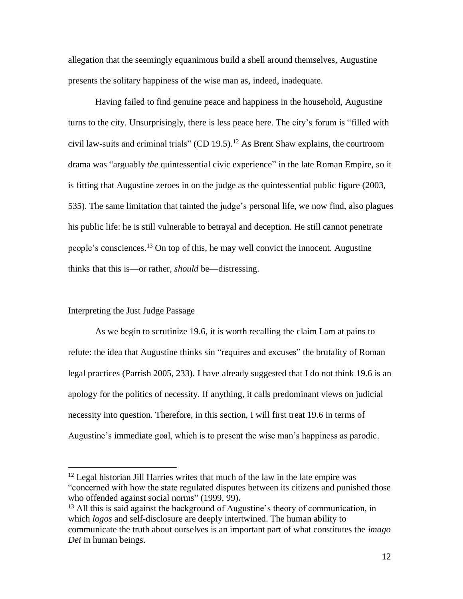allegation that the seemingly equanimous build a shell around themselves, Augustine presents the solitary happiness of the wise man as, indeed, inadequate.

Having failed to find genuine peace and happiness in the household, Augustine turns to the city. Unsurprisingly, there is less peace here. The city's forum is "filled with civil law-suits and criminal trials" (CD 19.5). <sup>12</sup> As Brent Shaw explains, the courtroom drama was "arguably *the* quintessential civic experience" in the late Roman Empire, so it is fitting that Augustine zeroes in on the judge as the quintessential public figure (2003, 535). The same limitation that tainted the judge's personal life, we now find, also plagues his public life: he is still vulnerable to betrayal and deception. He still cannot penetrate people's consciences.<sup>13</sup> On top of this, he may well convict the innocent. Augustine thinks that this is—or rather, *should* be—distressing.

## Interpreting the Just Judge Passage

 $\overline{a}$ 

As we begin to scrutinize 19.6, it is worth recalling the claim I am at pains to refute: the idea that Augustine thinks sin "requires and excuses" the brutality of Roman legal practices (Parrish 2005, 233). I have already suggested that I do not think 19.6 is an apology for the politics of necessity. If anything, it calls predominant views on judicial necessity into question. Therefore, in this section, I will first treat 19.6 in terms of Augustine's immediate goal, which is to present the wise man's happiness as parodic.

<sup>&</sup>lt;sup>12</sup> Legal historian Jill Harries writes that much of the law in the late empire was "concerned with how the state regulated disputes between its citizens and punished those who offended against social norms" (1999, 99)**.**

<sup>&</sup>lt;sup>13</sup> All this is said against the background of Augustine's theory of communication, in which *logos* and self-disclosure are deeply intertwined. The human ability to communicate the truth about ourselves is an important part of what constitutes the *imago Dei* in human beings.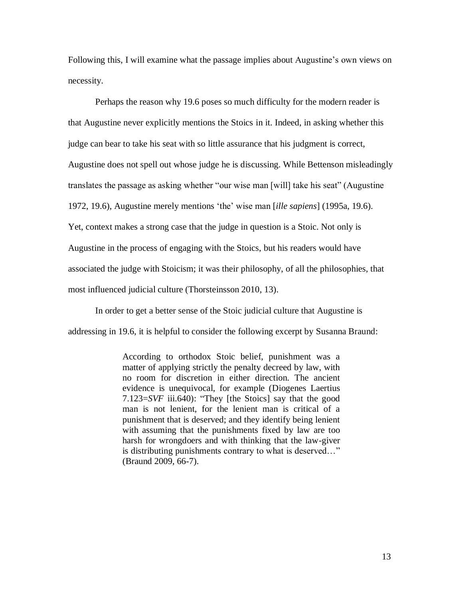Following this, I will examine what the passage implies about Augustine's own views on necessity.

Perhaps the reason why 19.6 poses so much difficulty for the modern reader is that Augustine never explicitly mentions the Stoics in it. Indeed, in asking whether this judge can bear to take his seat with so little assurance that his judgment is correct, Augustine does not spell out whose judge he is discussing. While Bettenson misleadingly translates the passage as asking whether "our wise man [will] take his seat" (Augustine 1972, 19.6), Augustine merely mentions 'the' wise man [*ille sapiens*] (1995a, 19.6). Yet, context makes a strong case that the judge in question is a Stoic. Not only is Augustine in the process of engaging with the Stoics, but his readers would have associated the judge with Stoicism; it was their philosophy, of all the philosophies, that most influenced judicial culture (Thorsteinsson 2010, 13).

In order to get a better sense of the Stoic judicial culture that Augustine is

addressing in 19.6, it is helpful to consider the following excerpt by Susanna Braund:

According to orthodox Stoic belief, punishment was a matter of applying strictly the penalty decreed by law, with no room for discretion in either direction. The ancient evidence is unequivocal, for example (Diogenes Laertius 7.123=*SVF* iii.640): "They [the Stoics] say that the good man is not lenient, for the lenient man is critical of a punishment that is deserved; and they identify being lenient with assuming that the punishments fixed by law are too harsh for wrongdoers and with thinking that the law-giver is distributing punishments contrary to what is deserved…" (Braund 2009, 66-7).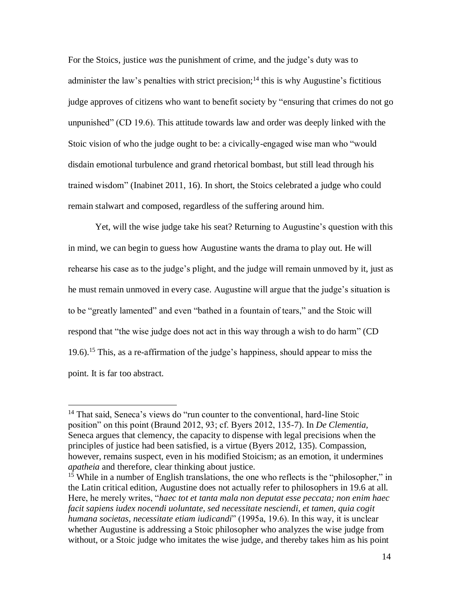For the Stoics, justice *was* the punishment of crime, and the judge's duty was to administer the law's penalties with strict precision;<sup>14</sup> this is why Augustine's fictitious judge approves of citizens who want to benefit society by "ensuring that crimes do not go unpunished" (CD 19.6). This attitude towards law and order was deeply linked with the Stoic vision of who the judge ought to be: a civically-engaged wise man who "would disdain emotional turbulence and grand rhetorical bombast, but still lead through his trained wisdom" (Inabinet 2011, 16). In short, the Stoics celebrated a judge who could remain stalwart and composed, regardless of the suffering around him.

Yet, will the wise judge take his seat? Returning to Augustine's question with this in mind, we can begin to guess how Augustine wants the drama to play out. He will rehearse his case as to the judge's plight, and the judge will remain unmoved by it, just as he must remain unmoved in every case. Augustine will argue that the judge's situation is to be "greatly lamented" and even "bathed in a fountain of tears," and the Stoic will respond that "the wise judge does not act in this way through a wish to do harm" (CD 19.6).<sup>15</sup> This, as a re-affirmation of the judge's happiness, should appear to miss the point. It is far too abstract.

<sup>&</sup>lt;sup>14</sup> That said, Seneca's views do "run counter to the conventional, hard-line Stoic position" on this point (Braund 2012, 93; cf. Byers 2012, 135-7). In *De Clementia,*  Seneca argues that clemency, the capacity to dispense with legal precisions when the principles of justice had been satisfied, is a virtue (Byers 2012, 135). Compassion, however, remains suspect, even in his modified Stoicism; as an emotion, it undermines *apatheia* and therefore, clear thinking about justice.

<sup>&</sup>lt;sup>15</sup> While in a number of English translations, the one who reflects is the "philosopher," in the Latin critical edition, Augustine does not actually refer to philosophers in 19.6 at all. Here, he merely writes, "*haec tot et tanta mala non deputat esse peccata; non enim haec facit sapiens iudex nocendi uoluntate, sed necessitate nesciendi, et tamen, quia cogit humana societas, necessitate etiam iudicandi*" (1995a, 19.6). In this way, it is unclear whether Augustine is addressing a Stoic philosopher who analyzes the wise judge from without, or a Stoic judge who imitates the wise judge, and thereby takes him as his point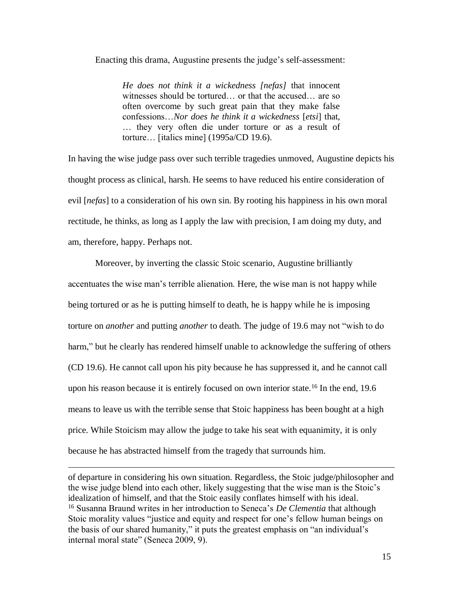Enacting this drama, Augustine presents the judge's self-assessment:

*He does not think it a wickedness [nefas]* that innocent witnesses should be tortured… or that the accused… are so often overcome by such great pain that they make false confessions…*Nor does he think it a wickedness* [*etsi*] that, … they very often die under torture or as a result of torture… [italics mine] (1995a/CD 19.6).

In having the wise judge pass over such terrible tragedies unmoved, Augustine depicts his thought process as clinical, harsh. He seems to have reduced his entire consideration of evil [*nefas*] to a consideration of his own sin. By rooting his happiness in his own moral rectitude, he thinks, as long as I apply the law with precision, I am doing my duty, and am, therefore, happy. Perhaps not.

Moreover, by inverting the classic Stoic scenario, Augustine brilliantly accentuates the wise man's terrible alienation. Here, the wise man is not happy while being tortured or as he is putting himself to death, he is happy while he is imposing torture on *another* and putting *another* to death. The judge of 19.6 may not "wish to do harm," but he clearly has rendered himself unable to acknowledge the suffering of others (CD 19.6). He cannot call upon his pity because he has suppressed it, and he cannot call upon his reason because it is entirely focused on own interior state.<sup>16</sup> In the end, 19.6 means to leave us with the terrible sense that Stoic happiness has been bought at a high price. While Stoicism may allow the judge to take his seat with equanimity, it is only because he has abstracted himself from the tragedy that surrounds him.

of departure in considering his own situation. Regardless, the Stoic judge/philosopher and the wise judge blend into each other, likely suggesting that the wise man is the Stoic's idealization of himself, and that the Stoic easily conflates himself with his ideal. <sup>16</sup> Susanna Braund writes in her introduction to Seneca's *De Clementia* that although Stoic morality values "justice and equity and respect for one's fellow human beings on the basis of our shared humanity," it puts the greatest emphasis on "an individual's internal moral state" (Seneca 2009, 9).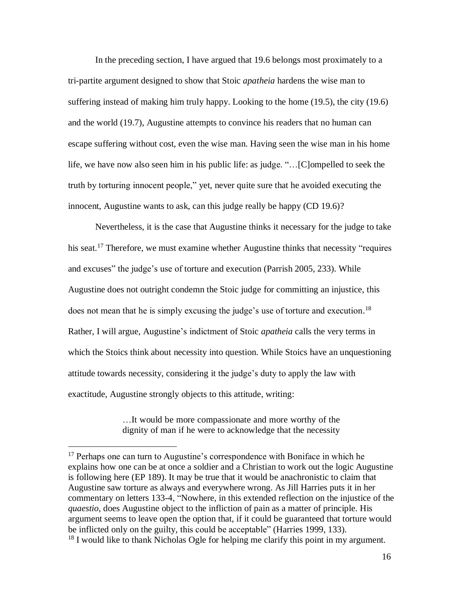In the preceding section, I have argued that 19.6 belongs most proximately to a tri-partite argument designed to show that Stoic *apatheia* hardens the wise man to suffering instead of making him truly happy. Looking to the home (19.5), the city (19.6) and the world (19.7), Augustine attempts to convince his readers that no human can escape suffering without cost, even the wise man. Having seen the wise man in his home life, we have now also seen him in his public life: as judge. "…[C]ompelled to seek the truth by torturing innocent people," yet, never quite sure that he avoided executing the innocent, Augustine wants to ask, can this judge really be happy (CD 19.6)?

Nevertheless, it is the case that Augustine thinks it necessary for the judge to take his seat.<sup>17</sup> Therefore, we must examine whether Augustine thinks that necessity "requires" and excuses" the judge's use of torture and execution (Parrish 2005, 233). While Augustine does not outright condemn the Stoic judge for committing an injustice, this does not mean that he is simply excusing the judge's use of torture and execution. 18 Rather, I will argue, Augustine's indictment of Stoic *apatheia* calls the very terms in which the Stoics think about necessity into question. While Stoics have an unquestioning attitude towards necessity, considering it the judge's duty to apply the law with exactitude, Augustine strongly objects to this attitude, writing:

> …It would be more compassionate and more worthy of the dignity of man if he were to acknowledge that the necessity

<sup>&</sup>lt;sup>17</sup> Perhaps one can turn to Augustine's correspondence with Boniface in which he explains how one can be at once a soldier and a Christian to work out the logic Augustine is following here (EP 189). It may be true that it would be anachronistic to claim that Augustine saw torture as always and everywhere wrong. As Jill Harries puts it in her commentary on letters 133-4, "Nowhere, in this extended reflection on the injustice of the *quaestio*, does Augustine object to the infliction of pain as a matter of principle. His argument seems to leave open the option that, if it could be guaranteed that torture would be inflicted only on the guilty, this could be acceptable" (Harries 1999, 133).  $18$  I would like to thank Nicholas Ogle for helping me clarify this point in my argument.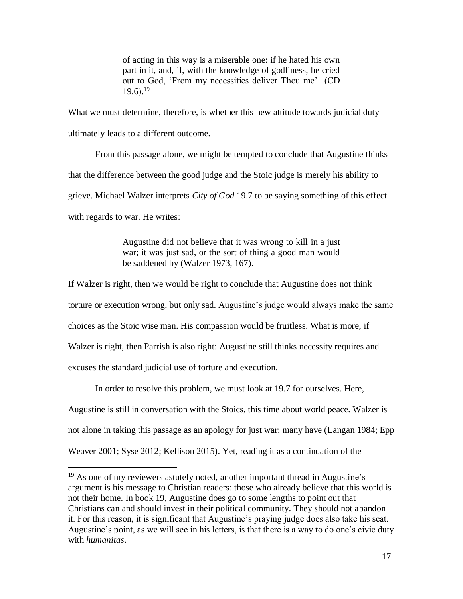of acting in this way is a miserable one: if he hated his own part in it, and, if, with the knowledge of godliness, he cried out to God, 'From my necessities deliver Thou me' (CD  $19.6$ ).<sup>19</sup>

What we must determine, therefore, is whether this new attitude towards judicial duty ultimately leads to a different outcome.

From this passage alone, we might be tempted to conclude that Augustine thinks that the difference between the good judge and the Stoic judge is merely his ability to grieve. Michael Walzer interprets *City of God* 19.7 to be saying something of this effect with regards to war. He writes:

> Augustine did not believe that it was wrong to kill in a just war; it was just sad, or the sort of thing a good man would be saddened by (Walzer 1973, 167).

If Walzer is right, then we would be right to conclude that Augustine does not think torture or execution wrong, but only sad. Augustine's judge would always make the same choices as the Stoic wise man. His compassion would be fruitless. What is more, if Walzer is right, then Parrish is also right: Augustine still thinks necessity requires and excuses the standard judicial use of torture and execution.

In order to resolve this problem, we must look at 19.7 for ourselves. Here, Augustine is still in conversation with the Stoics, this time about world peace. Walzer is not alone in taking this passage as an apology for just war; many have (Langan 1984; Epp Weaver 2001; Syse 2012; Kellison 2015). Yet, reading it as a continuation of the

<sup>&</sup>lt;sup>19</sup> As one of my reviewers astutely noted, another important thread in Augustine's argument is his message to Christian readers: those who already believe that this world is not their home. In book 19, Augustine does go to some lengths to point out that Christians can and should invest in their political community. They should not abandon it. For this reason, it is significant that Augustine's praying judge does also take his seat. Augustine's point, as we will see in his letters, is that there is a way to do one's civic duty with *humanitas*.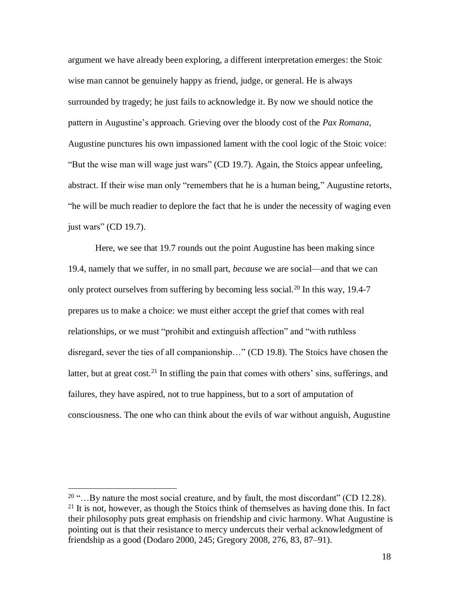argument we have already been exploring, a different interpretation emerges: the Stoic wise man cannot be genuinely happy as friend, judge, or general. He is always surrounded by tragedy; he just fails to acknowledge it. By now we should notice the pattern in Augustine's approach. Grieving over the bloody cost of the *Pax Romana*, Augustine punctures his own impassioned lament with the cool logic of the Stoic voice: "But the wise man will wage just wars" (CD 19.7). Again, the Stoics appear unfeeling, abstract. If their wise man only "remembers that he is a human being," Augustine retorts, "he will be much readier to deplore the fact that he is under the necessity of waging even just wars" (CD 19.7).

Here, we see that 19.7 rounds out the point Augustine has been making since 19.4, namely that we suffer, in no small part, *because* we are social—and that we can only protect ourselves from suffering by becoming less social.<sup>20</sup> In this way, 19.4-7 prepares us to make a choice: we must either accept the grief that comes with real relationships, or we must "prohibit and extinguish affection" and "with ruthless disregard, sever the ties of all companionship…" (CD 19.8). The Stoics have chosen the latter, but at great cost*.* <sup>21</sup> In stifling the pain that comes with others' sins, sufferings, and failures, they have aspired, not to true happiness, but to a sort of amputation of consciousness. The one who can think about the evils of war without anguish, Augustine

 $20$  "... By nature the most social creature, and by fault, the most discordant" (CD 12.28).  $21$  It is not, however, as though the Stoics think of themselves as having done this. In fact their philosophy puts great emphasis on friendship and civic harmony. What Augustine is pointing out is that their resistance to mercy undercuts their verbal acknowledgment of friendship as a good (Dodaro 2000, 245; Gregory 2008, 276, 83, 87–91).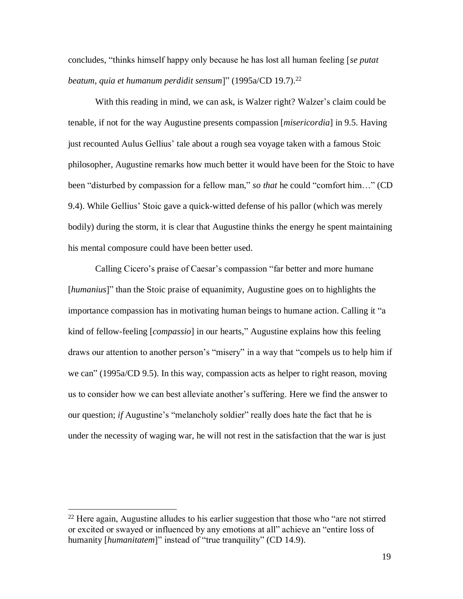concludes, "thinks himself happy only because he has lost all human feeling [*se putat beatum, quia et humanum perdidit sensum*]" (1995a/CD 19.7). 22

With this reading in mind, we can ask, is Walzer right? Walzer's claim could be tenable, if not for the way Augustine presents compassion [*misericordia*] in 9.5. Having just recounted Aulus Gellius' tale about a rough sea voyage taken with a famous Stoic philosopher, Augustine remarks how much better it would have been for the Stoic to have been "disturbed by compassion for a fellow man," *so that* he could "comfort him…" (CD 9.4). While Gellius' Stoic gave a quick-witted defense of his pallor (which was merely bodily) during the storm, it is clear that Augustine thinks the energy he spent maintaining his mental composure could have been better used.

Calling Cicero's praise of Caesar's compassion "far better and more humane [*humanius*]" than the Stoic praise of equanimity, Augustine goes on to highlights the importance compassion has in motivating human beings to humane action. Calling it "a kind of fellow-feeling [*compassio*] in our hearts," Augustine explains how this feeling draws our attention to another person's "misery" in a way that "compels us to help him if we can" (1995a/CD 9.5). In this way, compassion acts as helper to right reason, moving us to consider how we can best alleviate another's suffering. Here we find the answer to our question; *if* Augustine's "melancholy soldier" really does hate the fact that he is under the necessity of waging war, he will not rest in the satisfaction that the war is just

 $22$  Here again, Augustine alludes to his earlier suggestion that those who "are not stirred" or excited or swayed or influenced by any emotions at all" achieve an "entire loss of humanity [humanitatem]" instead of "true tranquility" (CD 14.9).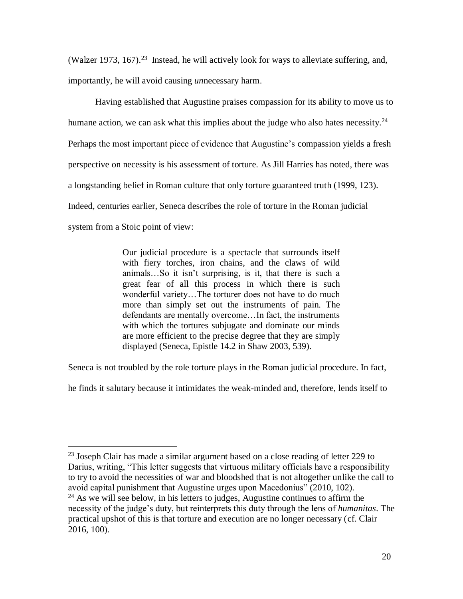(Walzer 1973, 167).<sup>23</sup> Instead, he will actively look for ways to alleviate suffering, and, importantly, he will avoid causing *un*necessary harm.

Having established that Augustine praises compassion for its ability to move us to humane action, we can ask what this implies about the judge who also hates necessity.<sup>24</sup> Perhaps the most important piece of evidence that Augustine's compassion yields a fresh perspective on necessity is his assessment of torture. As Jill Harries has noted, there was a longstanding belief in Roman culture that only torture guaranteed truth (1999, 123). Indeed, centuries earlier, Seneca describes the role of torture in the Roman judicial system from a Stoic point of view:

> Our judicial procedure is a spectacle that surrounds itself with fiery torches, iron chains, and the claws of wild animals…So it isn't surprising, is it, that there is such a great fear of all this process in which there is such wonderful variety…The torturer does not have to do much more than simply set out the instruments of pain. The defendants are mentally overcome…In fact, the instruments with which the tortures subjugate and dominate our minds are more efficient to the precise degree that they are simply displayed (Seneca, Epistle 14.2 in Shaw 2003, 539).

Seneca is not troubled by the role torture plays in the Roman judicial procedure. In fact,

he finds it salutary because it intimidates the weak-minded and, therefore, lends itself to

<sup>&</sup>lt;sup>23</sup> Joseph Clair has made a similar argument based on a close reading of letter 229 to Darius, writing, "This letter suggests that virtuous military officials have a responsibility to try to avoid the necessities of war and bloodshed that is not altogether unlike the call to avoid capital punishment that Augustine urges upon Macedonius" (2010, 102).  $^{24}$  As we will see below, in his letters to judges, Augustine continues to affirm the necessity of the judge's duty, but reinterprets this duty through the lens of *humanitas*. The practical upshot of this is that torture and execution are no longer necessary (cf. Clair 2016, 100).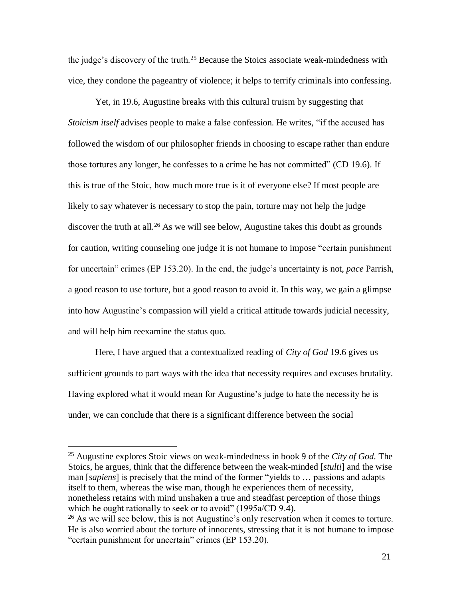the judge's discovery of the truth.<sup>25</sup> Because the Stoics associate weak-mindedness with vice, they condone the pageantry of violence; it helps to terrify criminals into confessing.

Yet, in 19.6, Augustine breaks with this cultural truism by suggesting that *Stoicism itself* advises people to make a false confession. He writes, "if the accused has followed the wisdom of our philosopher friends in choosing to escape rather than endure those tortures any longer, he confesses to a crime he has not committed" (CD 19.6). If this is true of the Stoic, how much more true is it of everyone else? If most people are likely to say whatever is necessary to stop the pain, torture may not help the judge discover the truth at all.<sup>26</sup> As we will see below, Augustine takes this doubt as grounds for caution, writing counseling one judge it is not humane to impose "certain punishment for uncertain" crimes (EP 153.20). In the end, the judge's uncertainty is not, *pace* Parrish, a good reason to use torture, but a good reason to avoid it. In this way, we gain a glimpse into how Augustine's compassion will yield a critical attitude towards judicial necessity, and will help him reexamine the status quo.

Here, I have argued that a contextualized reading of *City of God* 19.6 gives us sufficient grounds to part ways with the idea that necessity requires and excuses brutality. Having explored what it would mean for Augustine's judge to hate the necessity he is under, we can conclude that there is a significant difference between the social

<sup>25</sup> Augustine explores Stoic views on weak-mindedness in book 9 of the *City of God.* The Stoics, he argues, think that the difference between the weak-minded [*stulti*] and the wise man [*sapiens*] is precisely that the mind of the former "yields to … passions and adapts itself to them, whereas the wise man, though he experiences them of necessity, nonetheless retains with mind unshaken a true and steadfast perception of those things which he ought rationally to seek or to avoid" (1995a/CD 9.4).

<sup>&</sup>lt;sup>26</sup> As we will see below, this is not Augustine's only reservation when it comes to torture. He is also worried about the torture of innocents, stressing that it is not humane to impose "certain punishment for uncertain" crimes (EP 153.20).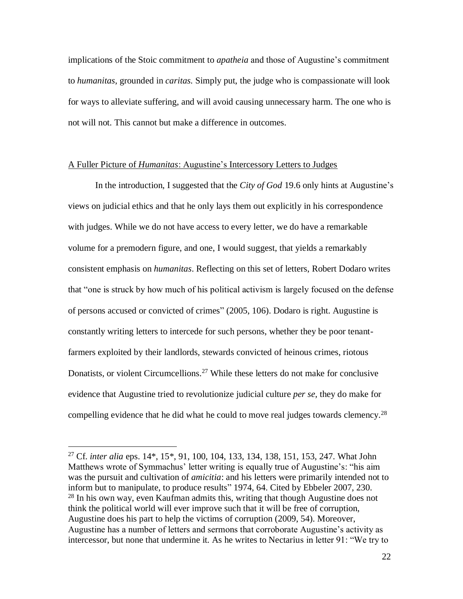implications of the Stoic commitment to *apatheia* and those of Augustine's commitment to *humanitas*, grounded in *caritas.* Simply put, the judge who is compassionate will look for ways to alleviate suffering, and will avoid causing unnecessary harm. The one who is not will not. This cannot but make a difference in outcomes.

#### A Fuller Picture of *Humanitas*: Augustine's Intercessory Letters to Judges

In the introduction, I suggested that the *City of God* 19.6 only hints at Augustine's views on judicial ethics and that he only lays them out explicitly in his correspondence with judges. While we do not have access to every letter, we do have a remarkable volume for a premodern figure, and one, I would suggest, that yields a remarkably consistent emphasis on *humanitas*. Reflecting on this set of letters, Robert Dodaro writes that "one is struck by how much of his political activism is largely focused on the defense of persons accused or convicted of crimes" (2005, 106). Dodaro is right. Augustine is constantly writing letters to intercede for such persons, whether they be poor tenantfarmers exploited by their landlords, stewards convicted of heinous crimes, riotous Donatists, or violent Circumcellions.<sup>27</sup> While these letters do not make for conclusive evidence that Augustine tried to revolutionize judicial culture *per se*, they do make for compelling evidence that he did what he could to move real judges towards clemency.<sup>28</sup>

<sup>27</sup> Cf. *inter alia* eps. 14\*, 15\*, 91, 100, 104, 133, 134, 138, 151, 153, 247. What John Matthews wrote of Symmachus' letter writing is equally true of Augustine's: "his aim was the pursuit and cultivation of *amicitia*: and his letters were primarily intended not to inform but to manipulate, to produce results" 1974, 64. Cited by Ebbeler 2007, 230.  $28$  In his own way, even Kaufman admits this, writing that though Augustine does not think the political world will ever improve such that it will be free of corruption, Augustine does his part to help the victims of corruption (2009, 54). Moreover, Augustine has a number of letters and sermons that corroborate Augustine's activity as intercessor, but none that undermine it. As he writes to Nectarius in letter 91: "We try to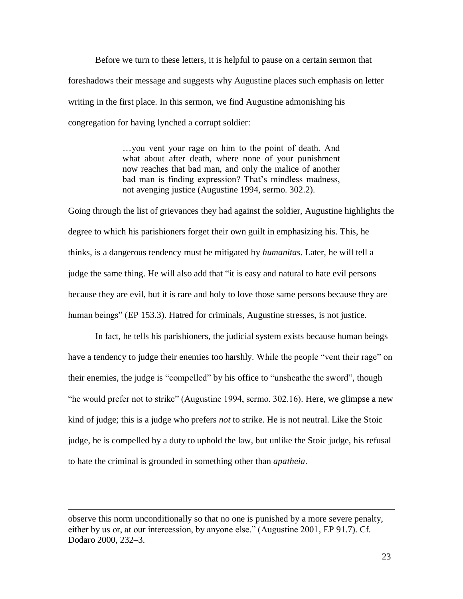Before we turn to these letters, it is helpful to pause on a certain sermon that foreshadows their message and suggests why Augustine places such emphasis on letter writing in the first place. In this sermon, we find Augustine admonishing his congregation for having lynched a corrupt soldier:

> …you vent your rage on him to the point of death. And what about after death, where none of your punishment now reaches that bad man, and only the malice of another bad man is finding expression? That's mindless madness, not avenging justice (Augustine 1994, sermo. 302.2).

Going through the list of grievances they had against the soldier, Augustine highlights the degree to which his parishioners forget their own guilt in emphasizing his. This, he thinks, is a dangerous tendency must be mitigated by *humanitas*. Later, he will tell a judge the same thing. He will also add that "it is easy and natural to hate evil persons because they are evil, but it is rare and holy to love those same persons because they are human beings" (EP 153.3). Hatred for criminals, Augustine stresses, is not justice.

In fact, he tells his parishioners, the judicial system exists because human beings have a tendency to judge their enemies too harshly. While the people "vent their rage" on their enemies, the judge is "compelled" by his office to "unsheathe the sword", though "he would prefer not to strike" (Augustine 1994, sermo. 302.16). Here, we glimpse a new kind of judge; this is a judge who prefers *not* to strike. He is not neutral. Like the Stoic judge, he is compelled by a duty to uphold the law, but unlike the Stoic judge, his refusal to hate the criminal is grounded in something other than *apatheia*.

observe this norm unconditionally so that no one is punished by a more severe penalty, either by us or, at our intercession, by anyone else." (Augustine 2001, EP 91.7). Cf. Dodaro 2000, 232–3.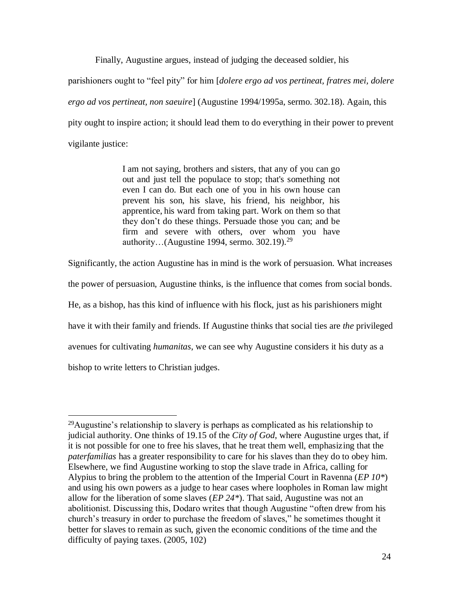Finally, Augustine argues, instead of judging the deceased soldier, his

parishioners ought to "feel pity" for him [*dolere ergo ad vos pertineat, fratres mei, dolere ergo ad vos pertineat, non saeuire*] (Augustine 1994/1995a, sermo. 302.18). Again, this pity ought to inspire action; it should lead them to do everything in their power to prevent vigilante justice:

> I am not saying, brothers and sisters, that any of you can go out and just tell the populace to stop; that's something not even I can do. But each one of you in his own house can prevent his son, his slave, his friend, his neighbor, his apprentice, his ward from taking part. Work on them so that they don't do these things. Persuade those you can; and be firm and severe with others, over whom you have authority…(Augustine 1994, sermo. 302.19).<sup>29</sup>

Significantly, the action Augustine has in mind is the work of persuasion. What increases

the power of persuasion, Augustine thinks, is the influence that comes from social bonds.

He, as a bishop, has this kind of influence with his flock, just as his parishioners might

have it with their family and friends. If Augustine thinks that social ties are *the* privileged

avenues for cultivating *humanitas*, we can see why Augustine considers it his duty as a

bishop to write letters to Christian judges.

 $^{29}$ Augustine's relationship to slavery is perhaps as complicated as his relationship to judicial authority. One thinks of 19.15 of the *City of God*, where Augustine urges that, if it is not possible for one to free his slaves, that he treat them well, emphasizing that the *paterfamilias* has a greater responsibility to care for his slaves than they do to obey him. Elsewhere, we find Augustine working to stop the slave trade in Africa, calling for Alypius to bring the problem to the attention of the Imperial Court in Ravenna (*EP 10\**) and using his own powers as a judge to hear cases where loopholes in Roman law might allow for the liberation of some slaves (*EP 24\**). That said, Augustine was not an abolitionist. Discussing this, Dodaro writes that though Augustine "often drew from his church's treasury in order to purchase the freedom of slaves," he sometimes thought it better for slaves to remain as such, given the economic conditions of the time and the difficulty of paying taxes. (2005, 102)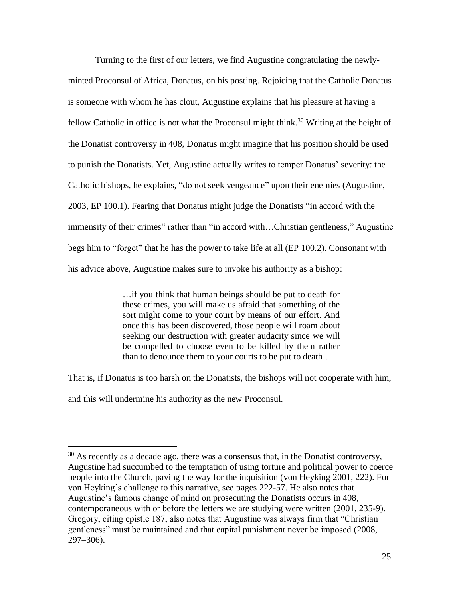Turning to the first of our letters, we find Augustine congratulating the newlyminted Proconsul of Africa, Donatus, on his posting. Rejoicing that the Catholic Donatus is someone with whom he has clout, Augustine explains that his pleasure at having a fellow Catholic in office is not what the Proconsul might think.<sup>30</sup> Writing at the height of the Donatist controversy in 408, Donatus might imagine that his position should be used to punish the Donatists. Yet, Augustine actually writes to temper Donatus' severity: the Catholic bishops, he explains, "do not seek vengeance" upon their enemies (Augustine, 2003, EP 100.1). Fearing that Donatus might judge the Donatists "in accord with the immensity of their crimes" rather than "in accord with...Christian gentleness," Augustine begs him to "forget" that he has the power to take life at all (EP 100.2). Consonant with his advice above, Augustine makes sure to invoke his authority as a bishop:

> …if you think that human beings should be put to death for these crimes, you will make us afraid that something of the sort might come to your court by means of our effort. And once this has been discovered, those people will roam about seeking our destruction with greater audacity since we will be compelled to choose even to be killed by them rather than to denounce them to your courts to be put to death…

That is, if Donatus is too harsh on the Donatists, the bishops will not cooperate with him, and this will undermine his authority as the new Proconsul.

 $30$  As recently as a decade ago, there was a consensus that, in the Donatist controversy, Augustine had succumbed to the temptation of using torture and political power to coerce people into the Church, paving the way for the inquisition (von Heyking 2001, 222). For von Heyking's challenge to this narrative, see pages 222-57. He also notes that Augustine's famous change of mind on prosecuting the Donatists occurs in 408, contemporaneous with or before the letters we are studying were written (2001, 235-9). Gregory, citing epistle 187, also notes that Augustine was always firm that "Christian gentleness" must be maintained and that capital punishment never be imposed (2008, 297–306).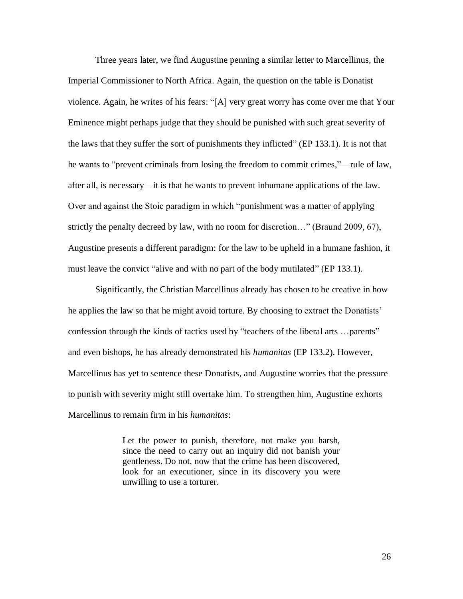Three years later, we find Augustine penning a similar letter to Marcellinus, the Imperial Commissioner to North Africa. Again, the question on the table is Donatist violence. Again, he writes of his fears: "[A] very great worry has come over me that Your Eminence might perhaps judge that they should be punished with such great severity of the laws that they suffer the sort of punishments they inflicted" (EP 133.1). It is not that he wants to "prevent criminals from losing the freedom to commit crimes,"—rule of law, after all, is necessary—it is that he wants to prevent inhumane applications of the law. Over and against the Stoic paradigm in which "punishment was a matter of applying strictly the penalty decreed by law, with no room for discretion…" (Braund 2009, 67), Augustine presents a different paradigm: for the law to be upheld in a humane fashion, it must leave the convict "alive and with no part of the body mutilated" (EP 133.1).

Significantly, the Christian Marcellinus already has chosen to be creative in how he applies the law so that he might avoid torture. By choosing to extract the Donatists' confession through the kinds of tactics used by "teachers of the liberal arts …parents" and even bishops, he has already demonstrated his *humanitas* (EP 133.2). However, Marcellinus has yet to sentence these Donatists, and Augustine worries that the pressure to punish with severity might still overtake him. To strengthen him, Augustine exhorts Marcellinus to remain firm in his *humanitas*:

> Let the power to punish, therefore, not make you harsh, since the need to carry out an inquiry did not banish your gentleness. Do not, now that the crime has been discovered, look for an executioner, since in its discovery you were unwilling to use a torturer.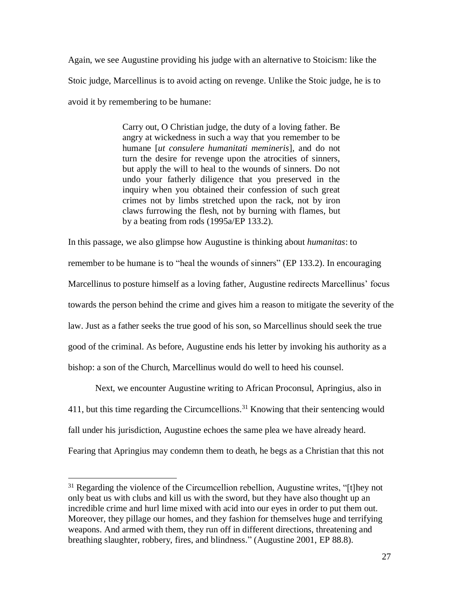Again, we see Augustine providing his judge with an alternative to Stoicism: like the Stoic judge, Marcellinus is to avoid acting on revenge. Unlike the Stoic judge, he is to avoid it by remembering to be humane:

> Carry out, O Christian judge, the duty of a loving father. Be angry at wickedness in such a way that you remember to be humane [*ut consulere humanitati memineris*], and do not turn the desire for revenge upon the atrocities of sinners, but apply the will to heal to the wounds of sinners. Do not undo your fatherly diligence that you preserved in the inquiry when you obtained their confession of such great crimes not by limbs stretched upon the rack, not by iron claws furrowing the flesh, not by burning with flames, but by a beating from rods (1995a/EP 133.2).

In this passage, we also glimpse how Augustine is thinking about *humanitas*: to remember to be humane is to "heal the wounds of sinners" (EP 133.2). In encouraging Marcellinus to posture himself as a loving father, Augustine redirects Marcellinus' focus towards the person behind the crime and gives him a reason to mitigate the severity of the law. Just as a father seeks the true good of his son, so Marcellinus should seek the true good of the criminal. As before, Augustine ends his letter by invoking his authority as a bishop: a son of the Church, Marcellinus would do well to heed his counsel.

Next, we encounter Augustine writing to African Proconsul, Apringius, also in 411, but this time regarding the Circumcellions.<sup>31</sup> Knowing that their sentencing would fall under his jurisdiction, Augustine echoes the same plea we have already heard. Fearing that Apringius may condemn them to death, he begs as a Christian that this not

 $31$  Regarding the violence of the Circumcellion rebellion, Augustine writes, "[t]hey not only beat us with clubs and kill us with the sword, but they have also thought up an incredible crime and hurl lime mixed with acid into our eyes in order to put them out. Moreover, they pillage our homes, and they fashion for themselves huge and terrifying weapons. And armed with them, they run off in different directions, threatening and breathing slaughter, robbery, fires, and blindness." (Augustine 2001, EP 88.8).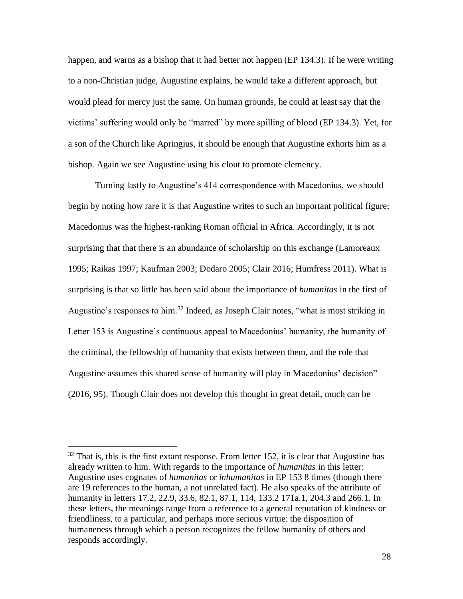happen, and warns as a bishop that it had better not happen (EP 134.3). If he were writing to a non-Christian judge, Augustine explains, he would take a different approach, but would plead for mercy just the same. On human grounds, he could at least say that the victims' suffering would only be "marred" by more spilling of blood (EP 134.3). Yet, for a son of the Church like Apringius, it should be enough that Augustine exhorts him as a bishop. Again we see Augustine using his clout to promote clemency.

Turning lastly to Augustine's 414 correspondence with Macedonius, we should begin by noting how rare it is that Augustine writes to such an important political figure; Macedonius was the highest-ranking Roman official in Africa. Accordingly, it is not surprising that that there is an abundance of scholarship on this exchange (Lamoreaux 1995; Raikas 1997; Kaufman 2003; Dodaro 2005; Clair 2016; Humfress 2011). What is surprising is that so little has been said about the importance of *humanitas* in the first of Augustine's responses to him. <sup>32</sup> Indeed, as Joseph Clair notes, "what is most striking in Letter 153 is Augustine's continuous appeal to Macedonius' humanity, the humanity of the criminal, the fellowship of humanity that exists between them, and the role that Augustine assumes this shared sense of humanity will play in Macedonius' decision" (2016, 95). Though Clair does not develop this thought in great detail, much can be

 $32$  That is, this is the first extant response. From letter 152, it is clear that Augustine has already written to him. With regards to the importance of *humanitas* in this letter: Augustine uses cognates of *humanitas* or *inhumanitas* in EP 153 8 times (though there are 19 references to the human, a not unrelated fact). He also speaks of the attribute of humanity in letters 17.2, 22.9, 33.6, 82.1, 87.1, 114, 133.2 171a.1, 204.3 and 266.1. In these letters, the meanings range from a reference to a general reputation of kindness or friendliness, to a particular, and perhaps more serious virtue: the disposition of humaneness through which a person recognizes the fellow humanity of others and responds accordingly.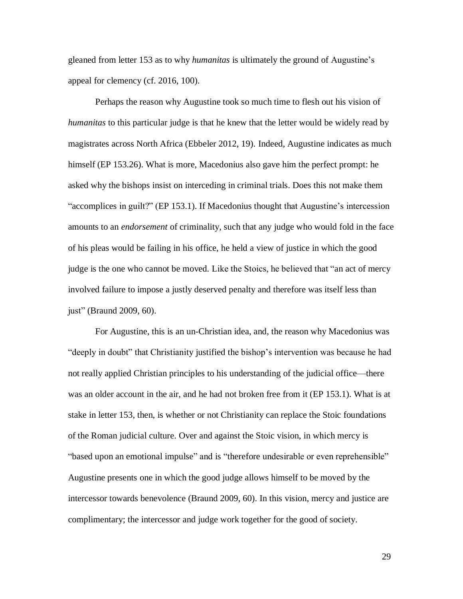gleaned from letter 153 as to why *humanitas* is ultimately the ground of Augustine's appeal for clemency (cf. 2016, 100).

Perhaps the reason why Augustine took so much time to flesh out his vision of *humanitas* to this particular judge is that he knew that the letter would be widely read by magistrates across North Africa (Ebbeler 2012, 19). Indeed, Augustine indicates as much himself (EP 153.26). What is more, Macedonius also gave him the perfect prompt: he asked why the bishops insist on interceding in criminal trials. Does this not make them "accomplices in guilt?" (EP 153.1). If Macedonius thought that Augustine's intercession amounts to an *endorsement* of criminality, such that any judge who would fold in the face of his pleas would be failing in his office, he held a view of justice in which the good judge is the one who cannot be moved. Like the Stoics, he believed that "an act of mercy involved failure to impose a justly deserved penalty and therefore was itself less than just" (Braund 2009, 60).

For Augustine, this is an un-Christian idea, and, the reason why Macedonius was "deeply in doubt" that Christianity justified the bishop's intervention was because he had not really applied Christian principles to his understanding of the judicial office—there was an older account in the air, and he had not broken free from it (EP 153.1). What is at stake in letter 153, then, is whether or not Christianity can replace the Stoic foundations of the Roman judicial culture. Over and against the Stoic vision, in which mercy is "based upon an emotional impulse" and is "therefore undesirable or even reprehensible" Augustine presents one in which the good judge allows himself to be moved by the intercessor towards benevolence (Braund 2009, 60). In this vision, mercy and justice are complimentary; the intercessor and judge work together for the good of society.

29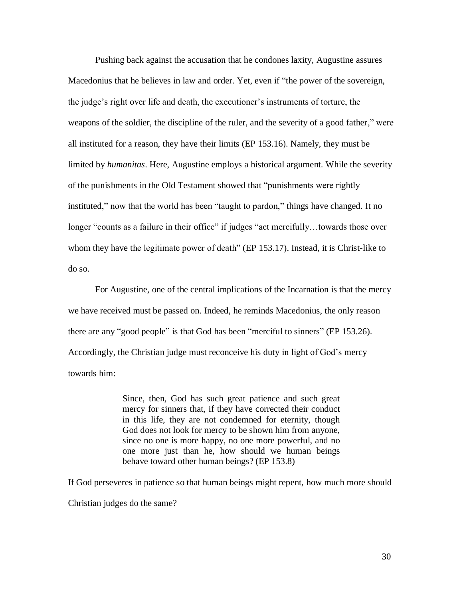Pushing back against the accusation that he condones laxity, Augustine assures Macedonius that he believes in law and order. Yet, even if "the power of the sovereign, the judge's right over life and death, the executioner's instruments of torture, the weapons of the soldier, the discipline of the ruler, and the severity of a good father," were all instituted for a reason, they have their limits (EP 153.16). Namely, they must be limited by *humanitas*. Here, Augustine employs a historical argument. While the severity of the punishments in the Old Testament showed that "punishments were rightly instituted," now that the world has been "taught to pardon," things have changed. It no longer "counts as a failure in their office" if judges "act mercifully...towards those over whom they have the legitimate power of death" (EP 153.17). Instead, it is Christ-like to do so.

For Augustine, one of the central implications of the Incarnation is that the mercy we have received must be passed on. Indeed, he reminds Macedonius, the only reason there are any "good people" is that God has been "merciful to sinners" (EP 153.26). Accordingly, the Christian judge must reconceive his duty in light of God's mercy towards him:

> Since, then, God has such great patience and such great mercy for sinners that, if they have corrected their conduct in this life, they are not condemned for eternity, though God does not look for mercy to be shown him from anyone, since no one is more happy, no one more powerful, and no one more just than he, how should we human beings behave toward other human beings? (EP 153.8)

If God perseveres in patience so that human beings might repent, how much more should Christian judges do the same?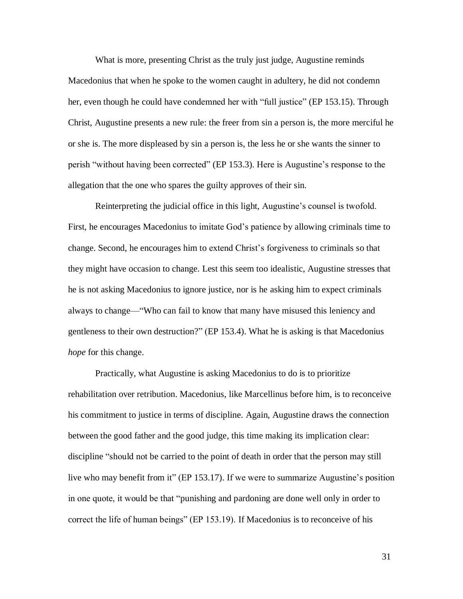What is more, presenting Christ as the truly just judge, Augustine reminds Macedonius that when he spoke to the women caught in adultery, he did not condemn her, even though he could have condemned her with "full justice" (EP 153.15). Through Christ, Augustine presents a new rule: the freer from sin a person is, the more merciful he or she is. The more displeased by sin a person is, the less he or she wants the sinner to perish "without having been corrected" (EP 153.3). Here is Augustine's response to the allegation that the one who spares the guilty approves of their sin.

Reinterpreting the judicial office in this light, Augustine's counsel is twofold. First, he encourages Macedonius to imitate God's patience by allowing criminals time to change. Second, he encourages him to extend Christ's forgiveness to criminals so that they might have occasion to change. Lest this seem too idealistic, Augustine stresses that he is not asking Macedonius to ignore justice, nor is he asking him to expect criminals always to change—"Who can fail to know that many have misused this leniency and gentleness to their own destruction?" (EP 153.4). What he is asking is that Macedonius *hope* for this change.

Practically, what Augustine is asking Macedonius to do is to prioritize rehabilitation over retribution. Macedonius, like Marcellinus before him, is to reconceive his commitment to justice in terms of discipline. Again, Augustine draws the connection between the good father and the good judge, this time making its implication clear: discipline "should not be carried to the point of death in order that the person may still live who may benefit from it" (EP 153.17). If we were to summarize Augustine's position in one quote, it would be that "punishing and pardoning are done well only in order to correct the life of human beings" (EP 153.19). If Macedonius is to reconceive of his

31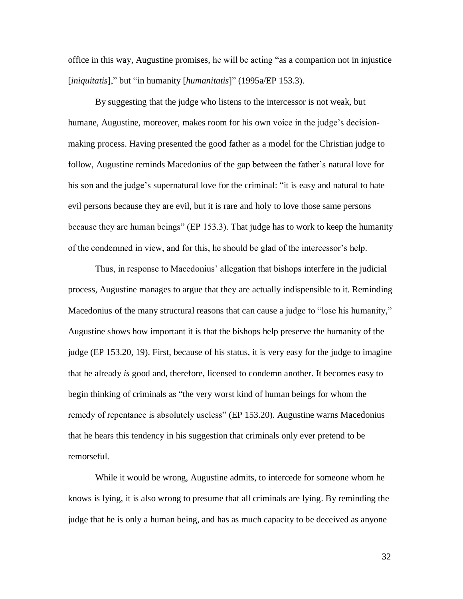office in this way, Augustine promises, he will be acting "as a companion not in injustice [*iniquitatis*]," but "in humanity [*humanitatis*]" (1995a/EP 153.3).

By suggesting that the judge who listens to the intercessor is not weak, but humane, Augustine, moreover, makes room for his own voice in the judge's decisionmaking process. Having presented the good father as a model for the Christian judge to follow, Augustine reminds Macedonius of the gap between the father's natural love for his son and the judge's supernatural love for the criminal: "it is easy and natural to hate evil persons because they are evil, but it is rare and holy to love those same persons because they are human beings" (EP 153.3). That judge has to work to keep the humanity of the condemned in view, and for this, he should be glad of the intercessor's help.

Thus, in response to Macedonius' allegation that bishops interfere in the judicial process, Augustine manages to argue that they are actually indispensible to it. Reminding Macedonius of the many structural reasons that can cause a judge to "lose his humanity," Augustine shows how important it is that the bishops help preserve the humanity of the judge (EP 153.20, 19). First, because of his status, it is very easy for the judge to imagine that he already *is* good and, therefore, licensed to condemn another. It becomes easy to begin thinking of criminals as "the very worst kind of human beings for whom the remedy of repentance is absolutely useless" (EP 153.20). Augustine warns Macedonius that he hears this tendency in his suggestion that criminals only ever pretend to be remorseful.

While it would be wrong, Augustine admits, to intercede for someone whom he knows is lying, it is also wrong to presume that all criminals are lying. By reminding the judge that he is only a human being, and has as much capacity to be deceived as anyone

32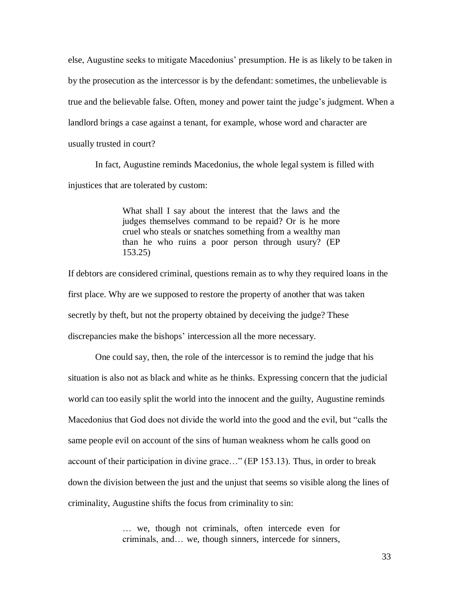else, Augustine seeks to mitigate Macedonius' presumption. He is as likely to be taken in by the prosecution as the intercessor is by the defendant: sometimes, the unbelievable is true and the believable false. Often, money and power taint the judge's judgment. When a landlord brings a case against a tenant, for example, whose word and character are usually trusted in court?

In fact, Augustine reminds Macedonius, the whole legal system is filled with injustices that are tolerated by custom:

> What shall I say about the interest that the laws and the judges themselves command to be repaid? Or is he more cruel who steals or snatches something from a wealthy man than he who ruins a poor person through usury? (EP 153.25)

If debtors are considered criminal, questions remain as to why they required loans in the first place. Why are we supposed to restore the property of another that was taken secretly by theft, but not the property obtained by deceiving the judge? These discrepancies make the bishops' intercession all the more necessary.

One could say, then, the role of the intercessor is to remind the judge that his situation is also not as black and white as he thinks. Expressing concern that the judicial world can too easily split the world into the innocent and the guilty, Augustine reminds Macedonius that God does not divide the world into the good and the evil, but "calls the same people evil on account of the sins of human weakness whom he calls good on account of their participation in divine grace…" (EP 153.13). Thus, in order to break down the division between the just and the unjust that seems so visible along the lines of criminality, Augustine shifts the focus from criminality to sin:

> … we, though not criminals, often intercede even for criminals, and… we, though sinners, intercede for sinners,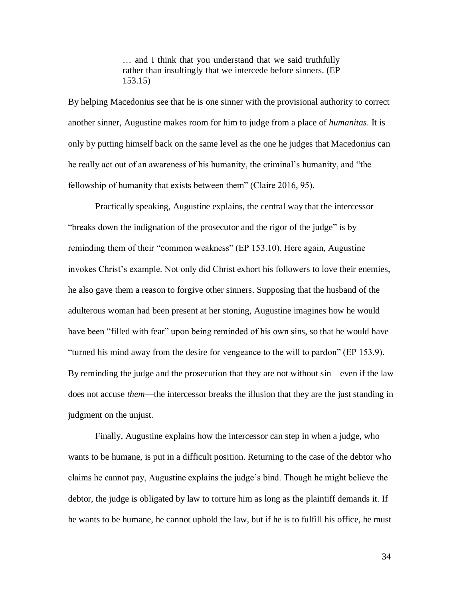… and I think that you understand that we said truthfully rather than insultingly that we intercede before sinners. (EP 153.15)

By helping Macedonius see that he is one sinner with the provisional authority to correct another sinner, Augustine makes room for him to judge from a place of *humanitas*. It is only by putting himself back on the same level as the one he judges that Macedonius can he really act out of an awareness of his humanity, the criminal's humanity, and "the fellowship of humanity that exists between them" (Claire 2016, 95).

Practically speaking, Augustine explains, the central way that the intercessor "breaks down the indignation of the prosecutor and the rigor of the judge" is by reminding them of their "common weakness" (EP 153.10). Here again, Augustine invokes Christ's example. Not only did Christ exhort his followers to love their enemies, he also gave them a reason to forgive other sinners. Supposing that the husband of the adulterous woman had been present at her stoning, Augustine imagines how he would have been "filled with fear" upon being reminded of his own sins, so that he would have "turned his mind away from the desire for vengeance to the will to pardon" (EP 153.9). By reminding the judge and the prosecution that they are not without sin—even if the law does not accuse *them*—the intercessor breaks the illusion that they are the just standing in judgment on the unjust.

Finally, Augustine explains how the intercessor can step in when a judge, who wants to be humane, is put in a difficult position. Returning to the case of the debtor who claims he cannot pay, Augustine explains the judge's bind. Though he might believe the debtor, the judge is obligated by law to torture him as long as the plaintiff demands it. If he wants to be humane, he cannot uphold the law, but if he is to fulfill his office, he must

34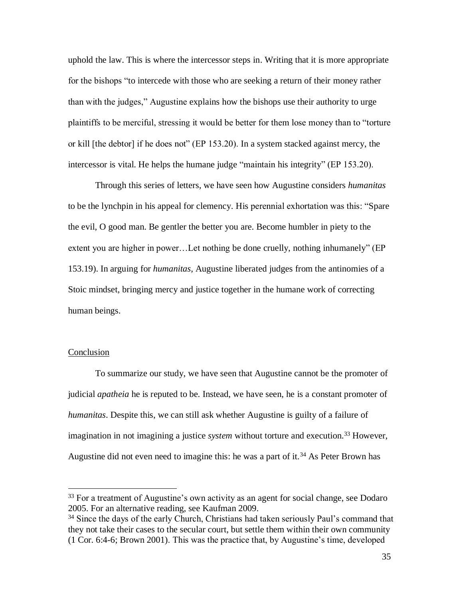uphold the law. This is where the intercessor steps in. Writing that it is more appropriate for the bishops "to intercede with those who are seeking a return of their money rather than with the judges," Augustine explains how the bishops use their authority to urge plaintiffs to be merciful, stressing it would be better for them lose money than to "torture or kill [the debtor] if he does not" (EP 153.20). In a system stacked against mercy, the intercessor is vital. He helps the humane judge "maintain his integrity" (EP 153.20).

Through this series of letters, we have seen how Augustine considers *humanitas* to be the lynchpin in his appeal for clemency*.* His perennial exhortation was this: "Spare the evil, O good man. Be gentler the better you are. Become humbler in piety to the extent you are higher in power…Let nothing be done cruelly, nothing inhumanely" (EP 153.19). In arguing for *humanitas*, Augustine liberated judges from the antinomies of a Stoic mindset, bringing mercy and justice together in the humane work of correcting human beings.

## **Conclusion**

 $\overline{a}$ 

To summarize our study, we have seen that Augustine cannot be the promoter of judicial *apatheia* he is reputed to be. Instead, we have seen, he is a constant promoter of *humanitas*. Despite this, we can still ask whether Augustine is guilty of a failure of imagination in not imagining a justice *system* without torture and execution. <sup>33</sup> However, Augustine did not even need to imagine this: he was a part of it.<sup>34</sup> As Peter Brown has

 $33$  For a treatment of Augustine's own activity as an agent for social change, see Dodaro 2005. For an alternative reading, see Kaufman 2009.

<sup>&</sup>lt;sup>34</sup> Since the days of the early Church, Christians had taken seriously Paul's command that they not take their cases to the secular court, but settle them within their own community (1 Cor. 6:4-6; Brown 2001). This was the practice that, by Augustine's time, developed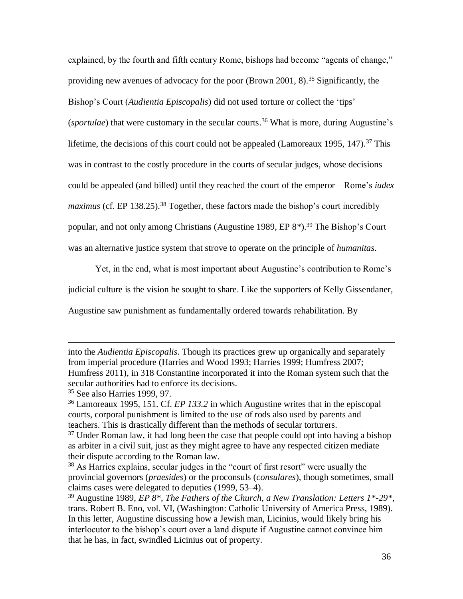explained, by the fourth and fifth century Rome, bishops had become "agents of change," providing new avenues of advocacy for the poor (Brown 2001, 8). <sup>35</sup> Significantly, the Bishop's Court (*Audientia Episcopalis*) did not used torture or collect the 'tips' (*sportulae*) that were customary in the secular courts. <sup>36</sup> What is more, during Augustine's lifetime, the decisions of this court could not be appealed (Lamoreaux 1995, 147).<sup>37</sup> This was in contrast to the costly procedure in the courts of secular judges, whose decisions could be appealed (and billed) until they reached the court of the emperor—Rome's *iudex maximus* (cf. EP 138.25).<sup>38</sup> Together, these factors made the bishop's court incredibly popular, and not only among Christians (Augustine 1989, EP 8*\**). <sup>39</sup> The Bishop's Court was an alternative justice system that strove to operate on the principle of *humanitas*.

Yet, in the end, what is most important about Augustine's contribution to Rome's

judicial culture is the vision he sought to share. Like the supporters of Kelly Gissendaner,

Augustine saw punishment as fundamentally ordered towards rehabilitation. By

into the *Audientia Episcopalis*. Though its practices grew up organically and separately from imperial procedure (Harries and Wood 1993; Harries 1999; Humfress 2007; Humfress 2011), in 318 Constantine incorporated it into the Roman system such that the secular authorities had to enforce its decisions.

<sup>35</sup> See also Harries 1999, 97.

<sup>36</sup> Lamoreaux 1995, 151. Cf. *EP 133.2* in which Augustine writes that in the episcopal courts, corporal punishment is limited to the use of rods also used by parents and teachers. This is drastically different than the methods of secular torturers.

 $37$  Under Roman law, it had long been the case that people could opt into having a bishop as arbiter in a civil suit, just as they might agree to have any respected citizen mediate their dispute according to the Roman law.

<sup>38</sup> As Harries explains, secular judges in the "court of first resort" were usually the provincial governors (*praesides*) or the proconsuls (*consulares*), though sometimes, small claims cases were delegated to deputies (1999, 53–4).

<sup>39</sup> Augustine 1989, *EP 8\*, The Fathers of the Church, a New Translation: Letters 1\*-29\**, trans. Robert B. Eno, vol. VI, (Washington: Catholic University of America Press, 1989). In this letter, Augustine discussing how a Jewish man, Licinius, would likely bring his interlocutor to the bishop's court over a land dispute if Augustine cannot convince him that he has, in fact, swindled Licinius out of property.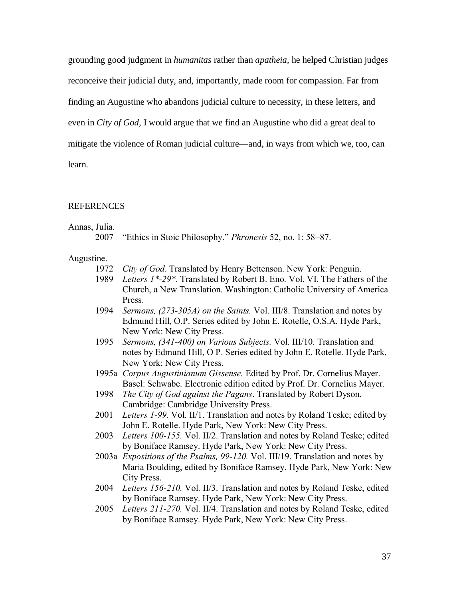grounding good judgment in *humanitas* rather than *apatheia*, he helped Christian judges reconceive their judicial duty, and, importantly, made room for compassion. Far from finding an Augustine who abandons judicial culture to necessity, in these letters, and even in *City of God,* I would argue that we find an Augustine who did a great deal to mitigate the violence of Roman judicial culture—and, in ways from which we, too, can learn.

#### **REFERENCES**

#### Annas, Julia.

|  |  |  |  |  |  | 2007 "Ethics in Stoic Philosophy." Phronesis 52, no. 1:58–87. |  |  |  |  |  |
|--|--|--|--|--|--|---------------------------------------------------------------|--|--|--|--|--|
|--|--|--|--|--|--|---------------------------------------------------------------|--|--|--|--|--|

#### Augustine.

- 1972 *City of God*. Translated by Henry Bettenson. New York: Penguin.
- 1989 *Letters 1\*-29\**. Translated by Robert B. Eno. Vol. VI. The Fathers of the Church, a New Translation. Washington: Catholic University of America Press.
- 1994 *Sermons, (273-305A) on the Saints.* Vol. III/8. Translation and notes by Edmund Hill, O.P. Series edited by John E. Rotelle, O.S.A. Hyde Park, New York: New City Press.
- 1995 *Sermons, (341-400) on Various Subjects.* Vol. III/10. Translation and notes by Edmund Hill, O P. Series edited by John E. Rotelle. Hyde Park, New York: New City Press.
- 1995a *Corpus Augustinianum Gissense.* Edited by Prof. Dr. Cornelius Mayer. Basel: Schwabe. Electronic edition edited by Prof. Dr. Cornelius Mayer.
- 1998 *The City of God against the Pagans*. Translated by Robert Dyson. Cambridge: Cambridge University Press.
- 2001 *Letters 1-99.* Vol. II/1. Translation and notes by Roland Teske; edited by John E. Rotelle. Hyde Park, New York: New City Press.
- 2003 *Letters 100-155.* Vol. II/2. Translation and notes by Roland Teske; edited by Boniface Ramsey. Hyde Park, New York: New City Press.
- 2003a *Expositions of the Psalms, 99-120.* Vol. III/19. Translation and notes by Maria Boulding, edited by Boniface Ramsey. Hyde Park, New York: New City Press.
- 2004 *Letters 156-210.* Vol. II/3. Translation and notes by Roland Teske, edited by Boniface Ramsey. Hyde Park, New York: New City Press.
- 2005 *Letters 211-270.* Vol. II/4. Translation and notes by Roland Teske, edited by Boniface Ramsey. Hyde Park, New York: New City Press.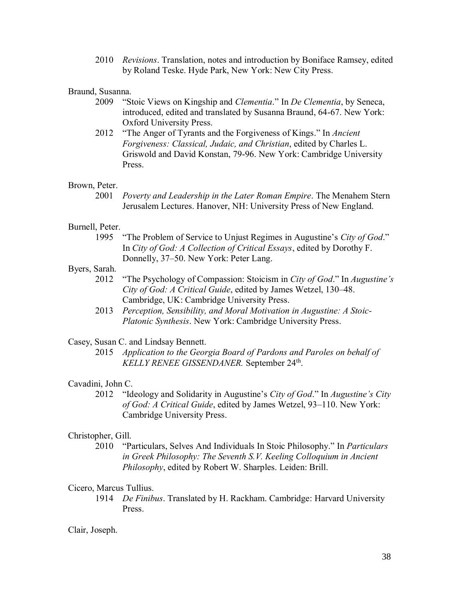2010 *Revisions*. Translation, notes and introduction by Boniface Ramsey, edited by Roland Teske. Hyde Park, New York: New City Press.

## Braund, Susanna.

- 2009 "Stoic Views on Kingship and *Clementia*." In *De Clementia*, by Seneca, introduced, edited and translated by Susanna Braund, 64-67. New York: Oxford University Press.
- 2012 "The Anger of Tyrants and the Forgiveness of Kings." In *Ancient Forgiveness: Classical, Judaic, and Christian*, edited by Charles L. Griswold and David Konstan, 79-96. New York: Cambridge University **Press**.

#### Brown, Peter.

2001 *Poverty and Leadership in the Later Roman Empire*. The Menahem Stern Jerusalem Lectures. Hanover, NH: University Press of New England.

## Burnell, Peter.

1995 "The Problem of Service to Unjust Regimes in Augustine's *City of God*." In *City of God: A Collection of Critical Essays*, edited by Dorothy F. Donnelly, 37–50. New York: Peter Lang.

## Byers, Sarah.

- 2012 "The Psychology of Compassion: Stoicism in *City of God*." In *Augustine's City of God: A Critical Guide*, edited by James Wetzel, 130–48. Cambridge, UK: Cambridge University Press.
- 2013 *Perception, Sensibility, and Moral Motivation in Augustine: A Stoic-Platonic Synthesis*. New York: Cambridge University Press.

## Casey, Susan C. and Lindsay Bennett.

2015 *Application to the Georgia Board of Pardons and Paroles on behalf of KELLY RENEE GISSENDANER.* September 24th .

#### Cavadini, John C.

2012 "Ideology and Solidarity in Augustine's *City of God*." In *Augustine's City of God: A Critical Guide*, edited by James Wetzel, 93–110. New York: Cambridge University Press.

#### Christopher, Gill.

2010 "Particulars, Selves And Individuals In Stoic Philosophy." In *Particulars in Greek Philosophy: The Seventh S.V. Keeling Colloquium in Ancient Philosophy*, edited by Robert W. Sharples. Leiden: Brill.

#### Cicero, Marcus Tullius.

1914 *De Finibus*. Translated by H. Rackham. Cambridge: Harvard University Press.

## Clair, Joseph.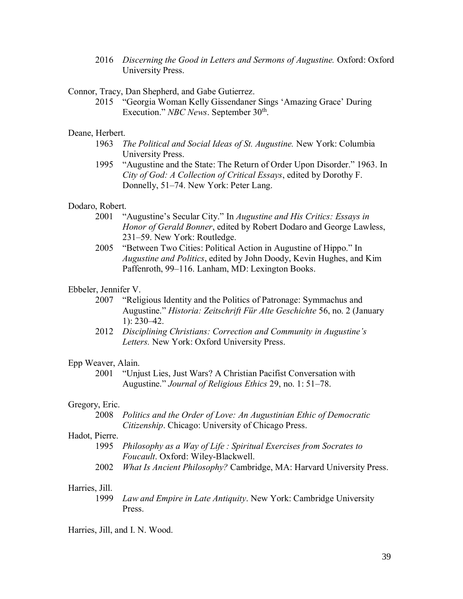2016 *Discerning the Good in Letters and Sermons of Augustine.* Oxford: Oxford University Press.

Connor, Tracy, Dan Shepherd, and Gabe Gutierrez.

2015 "Georgia Woman Kelly Gissendaner Sings 'Amazing Grace' During Execution." *NBC News*. September 30<sup>th</sup>.

#### Deane, Herbert.

- 1963 *The Political and Social Ideas of St. Augustine.* New York: Columbia University Press.
- 1995 "Augustine and the State: The Return of Order Upon Disorder." 1963. In *City of God: A Collection of Critical Essays*, edited by Dorothy F. Donnelly, 51–74. New York: Peter Lang.

#### Dodaro, Robert.

- 2001 "Augustine's Secular City." In *Augustine and His Critics: Essays in Honor of Gerald Bonner*, edited by Robert Dodaro and George Lawless, 231–59. New York: Routledge.
- 2005 "Between Two Cities: Political Action in Augustine of Hippo." In *Augustine and Politics*, edited by John Doody, Kevin Hughes, and Kim Paffenroth, 99–116. Lanham, MD: Lexington Books.

#### Ebbeler, Jennifer V.

- 2007 "Religious Identity and the Politics of Patronage: Symmachus and Augustine." *Historia: Zeitschrift Für Alte Geschichte* 56, no. 2 (January 1): 230–42.
- 2012 *Disciplining Christians: Correction and Community in Augustine's Letters.* New York: Oxford University Press.

#### Epp Weaver, Alain.

2001 "Unjust Lies, Just Wars? A Christian Pacifist Conversation with Augustine." *Journal of Religious Ethics* 29, no. 1: 51–78.

#### Gregory, Eric.

2008 *Politics and the Order of Love: An Augustinian Ethic of Democratic Citizenship*. Chicago: University of Chicago Press.

## Hadot, Pierre.

- 1995 *Philosophy as a Way of Life : Spiritual Exercises from Socrates to Foucault*. Oxford: Wiley-Blackwell.
- 2002 *What Is Ancient Philosophy?* Cambridge, MA: Harvard University Press.

## Harries, Jill.

1999 *Law and Empire in Late Antiquity*. New York: Cambridge University Press.

Harries, Jill, and I. N. Wood.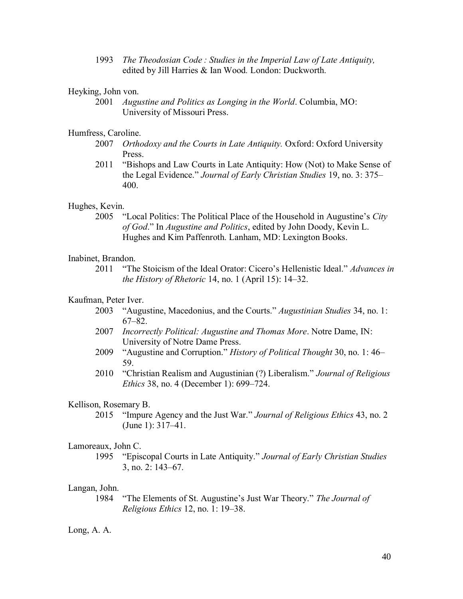1993 *The Theodosian Code : Studies in the Imperial Law of Late Antiquity,*  edited by Jill Harries & Ian Wood*.* London: Duckworth.

## Heyking, John von.

2001 *Augustine and Politics as Longing in the World*. Columbia, MO: University of Missouri Press.

#### Humfress, Caroline.

- 2007 *Orthodoxy and the Courts in Late Antiquity.* Oxford: Oxford University Press.
- 2011 "Bishops and Law Courts in Late Antiquity: How (Not) to Make Sense of the Legal Evidence." *Journal of Early Christian Studies* 19, no. 3: 375– 400.

## Hughes, Kevin.

2005 "Local Politics: The Political Place of the Household in Augustine's *City of God*." In *Augustine and Politics*, edited by John Doody, Kevin L. Hughes and Kim Paffenroth. Lanham, MD: Lexington Books.

## Inabinet, Brandon.

2011 "The Stoicism of the Ideal Orator: Cicero's Hellenistic Ideal." *Advances in the History of Rhetoric* 14, no. 1 (April 15): 14–32.

## Kaufman, Peter Iver.

- 2003 "Augustine, Macedonius, and the Courts." *Augustinian Studies* 34, no. 1: 67–82.
- 2007 *Incorrectly Political: Augustine and Thomas More*. Notre Dame, IN: University of Notre Dame Press.
- 2009 "Augustine and Corruption." *History of Political Thought* 30, no. 1: 46– 59.
- 2010 "Christian Realism and Augustinian (?) Liberalism." *Journal of Religious Ethics* 38, no. 4 (December 1): 699–724.

#### Kellison, Rosemary B.

2015 "Impure Agency and the Just War." *Journal of Religious Ethics* 43, no. 2 (June 1): 317–41.

#### Lamoreaux, John C.

1995 "Episcopal Courts in Late Antiquity." *Journal of Early Christian Studies* 3, no. 2: 143–67.

## Langan, John.

1984 "The Elements of St. Augustine's Just War Theory." *The Journal of Religious Ethics* 12, no. 1: 19–38.

## Long, A. A.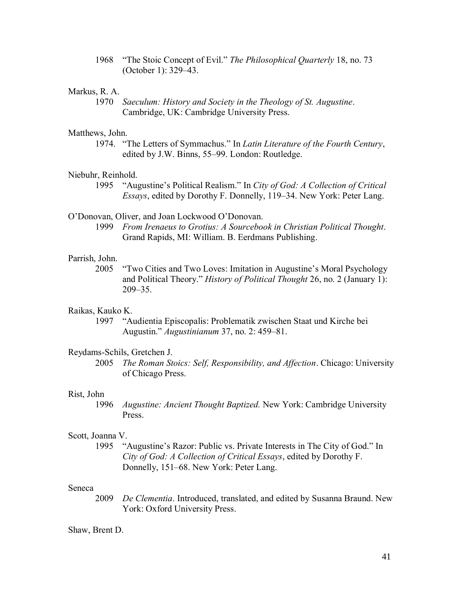1968 "The Stoic Concept of Evil." *The Philosophical Quarterly* 18, no. 73 (October 1): 329–43.

## Markus, R. A.

1970 *Saeculum: History and Society in the Theology of St. Augustine*. Cambridge, UK: Cambridge University Press.

#### Matthews, John.

1974. "The Letters of Symmachus." In *Latin Literature of the Fourth Century*, edited by J.W. Binns, 55–99. London: Routledge.

## Niebuhr, Reinhold.

1995 "Augustine's Political Realism." In *City of God: A Collection of Critical Essays*, edited by Dorothy F. Donnelly, 119–34. New York: Peter Lang.

## O'Donovan, Oliver, and Joan Lockwood O'Donovan.

1999 *From Irenaeus to Grotius: A Sourcebook in Christian Political Thought*. Grand Rapids, MI: William. B. Eerdmans Publishing.

#### Parrish, John.

2005 "Two Cities and Two Loves: Imitation in Augustine's Moral Psychology and Political Theory." *History of Political Thought* 26, no. 2 (January 1): 209–35.

#### Raikas, Kauko K.

1997 "Audientia Episcopalis: Problematik zwischen Staat und Kirche bei Augustin." *Augustinianum* 37, no. 2: 459–81.

#### Reydams-Schils, Gretchen J.

2005 *The Roman Stoics: Self, Responsibility, and Affection*. Chicago: University of Chicago Press.

#### Rist, John

1996 *Augustine: Ancient Thought Baptized.* New York: Cambridge University Press.

#### Scott, Joanna V.

1995 "Augustine's Razor: Public vs. Private Interests in The City of God." In *City of God: A Collection of Critical Essays*, edited by Dorothy F. Donnelly, 151–68. New York: Peter Lang.

## Seneca

2009 *De Clementia*. Introduced, translated, and edited by Susanna Braund. New York: Oxford University Press.

#### Shaw, Brent D.